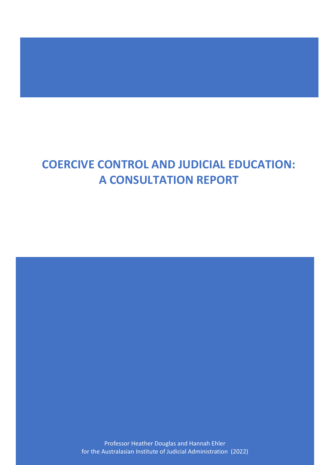# **COERCIVE CONTROL AND JUDICIAL EDUCATION: A CONSULTATION REPORT**

Professor Heather Douglas and Hannah Ehler for the Australasian Institute of Judicial Administration (2022)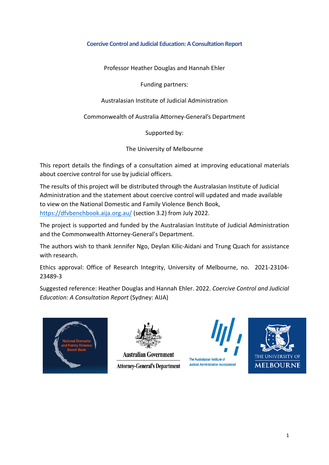#### <span id="page-1-0"></span>**Coercive Control and Judicial Education: A Consultation Report**

Professor Heather Douglas and Hannah Ehler

Funding partners:

Australasian Institute of Judicial Administration

Commonwealth of Australia Attorney-General's Department

Supported by:

The University of Melbourne

This report details the findings of a consultation aimed at improving educational materials about coercive control for use by judicial officers.

The results of this project will be distributed through the Australasian Institute of Judicial Administration and the statement about coercive control will updated and made available to view on the National Domestic and Family Violence Bench Book, <https://dfvbenchbook.aija.org.au/> (section 3.2) from July 2022.

The project is supported and funded by the Australasian Institute of Judicial Administration and the Commonwealth Attorney-General's Department.

The authors wish to thank Jennifer Ngo, Deylan Kilic-Aidani and Trung Quach for assistance with research.

Ethics approval: Office of Research Integrity, University of Melbourne, no. 2021-23104- 23489-3

Suggested reference: Heather Douglas and Hannah Ehler. 2022. *Coercive Control and Judicial Education: A Consultation Report* (Sydney: AIJA)





**Australian Government Attorney-General's Department** 



Judicial Administration Incorporated

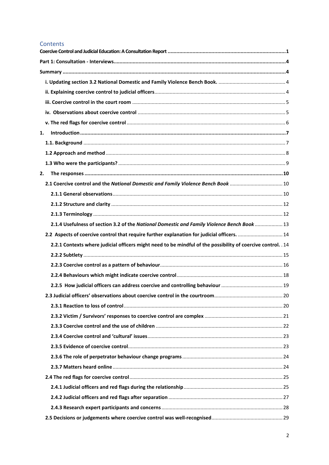#### Contents

| 1.                                                                                                           |  |
|--------------------------------------------------------------------------------------------------------------|--|
|                                                                                                              |  |
|                                                                                                              |  |
|                                                                                                              |  |
| 2.                                                                                                           |  |
| 2.1 Coercive control and the National Domestic and Family Violence Bench Book  10                            |  |
|                                                                                                              |  |
|                                                                                                              |  |
|                                                                                                              |  |
| 2.1.4 Usefulness of section 3.2 of the National Domestic and Family Violence Bench Book  13                  |  |
| 2.2 Aspects of coercive control that require further explanation for judicial officers.  14                  |  |
| 2.2.1 Contexts where judicial officers might need to be mindful of the possibility of coercive control. . 14 |  |
|                                                                                                              |  |
|                                                                                                              |  |
|                                                                                                              |  |
|                                                                                                              |  |
|                                                                                                              |  |
|                                                                                                              |  |
|                                                                                                              |  |
|                                                                                                              |  |
|                                                                                                              |  |
|                                                                                                              |  |
|                                                                                                              |  |
|                                                                                                              |  |
|                                                                                                              |  |
|                                                                                                              |  |
|                                                                                                              |  |
|                                                                                                              |  |
|                                                                                                              |  |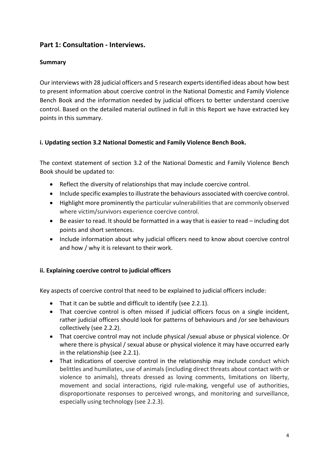## <span id="page-4-1"></span><span id="page-4-0"></span>**Part 1: Consultation - Interviews.**

## **Summary**

Our interviews with 28 judicial officers and 5 research experts identified ideas about how best to present information about coercive control in the National Domestic and Family Violence Bench Book and the information needed by judicial officers to better understand coercive control. Based on the detailed material outlined in full in this Report we have extracted key points in this summary.

## <span id="page-4-2"></span>**i. Updating section 3.2 National Domestic and Family Violence Bench Book.**

The context statement of section 3.2 of the National Domestic and Family Violence Bench Book should be updated to:

- Reflect the diversity of relationships that may include coercive control.
- Include specific examples to illustrate the behaviours associated with coercive control.
- Highlight more prominently the particular vulnerabilities that are commonly observed where victim/survivors experience coercive control.
- Be easier to read. It should be formatted in a way that is easier to read including dot points and short sentences.
- Include information about why judicial officers need to know about coercive control and how / why it is relevant to their work.

#### <span id="page-4-3"></span>**ii. Explaining coercive control to judicial officers**

Key aspects of coercive control that need to be explained to judicial officers include:

- That it can be subtle and difficult to identify (see 2.2.1).
- That coercive control is often missed if judicial officers focus on a single incident, rather judicial officers should look for patterns of behaviours and /or see behaviours collectively (see 2.2.2).
- That coercive control may not include physical /sexual abuse or physical violence. Or where there is physical / sexual abuse or physical violence it may have occurred early in the relationship (see 2.2.1).
- That indications of coercive control in the relationship may include conduct which belittles and humiliates, use of animals (including direct threats about contact with or violence to animals), threats dressed as loving comments, limitations on liberty, movement and social interactions, rigid rule-making, vengeful use of authorities, disproportionate responses to perceived wrongs, and monitoring and surveillance, especially using technology (see 2.2.3).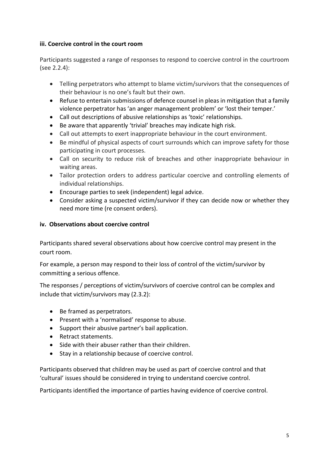### <span id="page-5-0"></span>**iii. Coercive control in the court room**

Participants suggested a range of responses to respond to coercive control in the courtroom (see 2.2.4):

- Telling perpetrators who attempt to blame victim/survivors that the consequences of their behaviour is no one's fault but their own.
- Refuse to entertain submissions of defence counsel in pleas in mitigation that a family violence perpetrator has 'an anger management problem' or 'lost their temper.'
- Call out descriptions of abusive relationships as 'toxic' relationships.
- Be aware that apparently 'trivial' breaches may indicate high risk.
- Call out attempts to exert inappropriate behaviour in the court environment.
- Be mindful of physical aspects of court surrounds which can improve safety for those participating in court processes.
- Call on security to reduce risk of breaches and other inappropriate behaviour in waiting areas.
- Tailor protection orders to address particular coercive and controlling elements of individual relationships.
- Encourage parties to seek (independent) legal advice.
- Consider asking a suspected victim/survivor if they can decide now or whether they need more time (re consent orders).

## <span id="page-5-1"></span>**iv. Observations about coercive control**

Participants shared several observations about how coercive control may present in the court room.

For example, a person may respond to their loss of control of the victim/survivor by committing a serious offence.

The responses / perceptions of victim/survivors of coercive control can be complex and include that victim/survivors may (2.3.2):

- Be framed as perpetrators.
- Present with a 'normalised' response to abuse.
- Support their abusive partner's bail application.
- Retract statements.
- Side with their abuser rather than their children.
- Stay in a relationship because of coercive control.

Participants observed that children may be used as part of coercive control and that 'cultural' issues should be considered in trying to understand coercive control.

Participants identified the importance of parties having evidence of coercive control.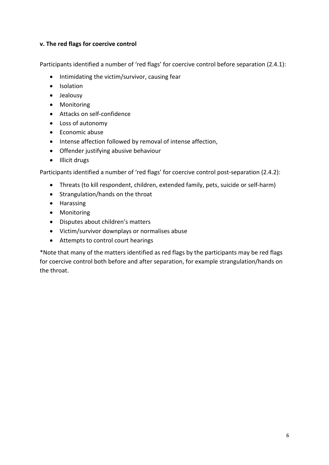#### <span id="page-6-0"></span>**v. The red flags for coercive control**

Participants identified a number of 'red flags' for coercive control before separation (2.4.1):

- Intimidating the victim/survivor, causing fear
- Isolation
- Jealousy
- Monitoring
- Attacks on self-confidence
- Loss of autonomy
- Economic abuse
- Intense affection followed by removal of intense affection,
- Offender justifying abusive behaviour
- Illicit drugs

Participants identified a number of 'red flags' for coercive control post-separation (2.4.2):

- Threats (to kill respondent, children, extended family, pets, suicide or self-harm)
- Strangulation/hands on the throat
- Harassing
- Monitoring
- Disputes about children's matters
- Victim/survivor downplays or normalises abuse
- Attempts to control court hearings

\*Note that many of the matters identified as red flags by the participants may be red flags for coercive control both before and after separation, for example strangulation/hands on the throat.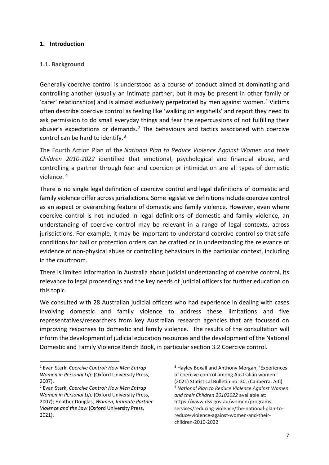#### <span id="page-7-0"></span>**1. Introduction**

#### <span id="page-7-1"></span>**1.1. Background**

Generally coercive control is understood as a course of conduct aimed at dominating and controlling another (usually an intimate partner, but it may be present in other family or 'carer' relationships) and is almost exclusively perpetrated by men against women.<sup>[1](#page-7-2)</sup> Victims often describe coercive control as feeling like 'walking on eggshells' and report they need to ask permission to do small everyday things and fear the repercussions of not fulfilling their abuser's expectations or demands.<sup>[2](#page-7-3)</sup> The behaviours and tactics associated with coercive control can be hard to identify.[3](#page-7-2)

The Fourth Action Plan of the *National Plan to Reduce Violence Against Women and their Children 2010-2022* identified that emotional, psychological and financial abuse, and controlling a partner through fear and coercion or intimidation are all types of domestic violence. [4](#page-7-3) 

There is no single legal definition of coercive control and legal definitions of domestic and family violence differ across jurisdictions. Some legislative definitions include coercive control as an aspect or overarching feature of domestic and family violence. However, even where coercive control is not included in legal definitions of domestic and family violence, an understanding of coercive control may be relevant in a range of legal contexts, across jurisdictions. For example, it may be important to understand coercive control so that safe conditions for bail or protection orders can be crafted or in understanding the relevance of evidence of non-physical abuse or controlling behaviours in the particular context, including in the courtroom.

There is limited information in Australia about judicial understanding of coercive control, its relevance to legal proceedings and the key needs of judicial officers for further education on this topic.

We consulted with 28 Australian judicial officers who had experience in dealing with cases involving domestic and family violence to address these limitations and five representatives/researchers from key Australian research agencies that are focussed on improving responses to domestic and family violence. The results of the consultation will inform the development of judicial education resources and the development of the National Domestic and Family Violence Bench Book, in particular section 3.2 Coercive control.

<sup>3</sup> Hayley Boxall and Anthony Morgan, 'Experiences of coercive control among Australian women.' (2021) Statistical Bulletin no. 30, (Canberra: AIC) <sup>4</sup> *National Plan to Reduce Violence Against Women and their Children 20102022* available at: https://www.dss.gov.au/women/programsservices/reducing-violence/the-national-plan-toreduce-violence-against-women-and-theirchildren-2010-2022

<span id="page-7-2"></span><sup>1</sup> Evan Stark, *Coercive Control: How Men Entrap Women in Personal Life* (Oxford University Press, 2007).

<span id="page-7-3"></span><sup>2</sup> Evan Stark, *Coercive Control: How Men Entrap Women in Personal Life* (Oxford University Press, 2007); Heather Douglas, *Women, Intimate Partner Violence and the Law* (Oxford University Press, 2021).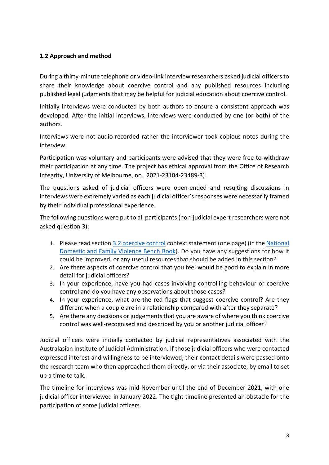## <span id="page-8-0"></span>**1.2 Approach and method**

During a thirty-minute telephone or video-link interview researchers asked judicial officers to share their knowledge about coercive control and any published resources including published legal judgments that may be helpful for judicial education about coercive control.

Initially interviews were conducted by both authors to ensure a consistent approach was developed. After the initial interviews, interviews were conducted by one (or both) of the authors.

Interviews were not audio-recorded rather the interviewer took copious notes during the interview.

Participation was voluntary and participants were advised that they were free to withdraw their participation at any time. The project has ethical approval from the Office of Research Integrity, University of Melbourne, no. 2021-23104-23489-3).

The questions asked of judicial officers were open-ended and resulting discussions in interviews were extremely varied as each judicial officer's responses were necessarily framed by their individual professional experience.

The following questions were put to all participants (non-judicial expert researchers were not asked question 3):

- 1. Please read section [3.2 coercive control](https://protect-au.mimecast.com/s/aLT2CNLwzjF0qJ4XOUmVMq2?domain=urldefense.com) context statement (one page) (in the [National](https://protect-au.mimecast.com/s/6hLoCOMxAkspLlW47CvmQjE?domain=urldefense.com)  [Domestic and Family Violence Bench Book\)](https://protect-au.mimecast.com/s/6hLoCOMxAkspLlW47CvmQjE?domain=urldefense.com). Do you have any suggestions for how it could be improved, or any useful resources that should be added in this section?
- 2. Are there aspects of coercive control that you feel would be good to explain in more detail for judicial officers?
- 3. In your experience, have you had cases involving controlling behaviour or coercive control and do you have any observations about those cases?
- 4. In your experience, what are the red flags that suggest coercive control? Are they different when a couple are in a relationship compared with after they separate?
- 5. Are there any decisions or judgements that you are aware of where you think coercive control was well-recognised and described by you or another judicial officer?

Judicial officers were initially contacted by judicial representatives associated with the Australasian Institute of Judicial Administration. If those judicial officers who were contacted expressed interest and willingness to be interviewed, their contact details were passed onto the research team who then approached them directly, or via their associate, by email to set up a time to talk.

The timeline for interviews was mid-November until the end of December 2021, with one judicial officer interviewed in January 2022. The tight timeline presented an obstacle for the participation of some judicial officers.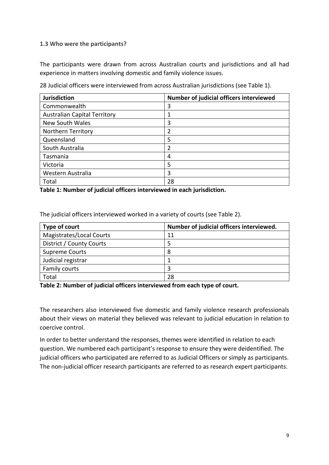#### <span id="page-9-0"></span>**1.3 Who were the participants?**

The participants were drawn from across Australian courts and jurisdictions and all had experience in matters involving domestic and family violence issues.

28 Judicial officers were interviewed from across Australian jurisdictions (see Table 1).

| <b>Jurisdiction</b>                 | Number of judicial officers interviewed |
|-------------------------------------|-----------------------------------------|
| Commonwealth                        | 3                                       |
| <b>Australian Capital Territory</b> |                                         |
| <b>New South Wales</b>              | 3                                       |
| Northern Territory                  | 2                                       |
| Queensland                          | 5                                       |
| South Australia                     | 2                                       |
| Tasmania                            | 4                                       |
| Victoria                            | 5                                       |
| Western Australia                   | 3                                       |
| Total                               | 28                                      |

**Table 1: Number of judicial officers interviewed in each jurisdiction.**

The judicial officers interviewed worked in a variety of courts (see Table 2).

| Type of court            | Number of judicial officers interviewed. |
|--------------------------|------------------------------------------|
| Magistrates/Local Courts | 11                                       |
| District / County Courts |                                          |
| <b>Supreme Courts</b>    | 8                                        |
| Judicial registrar       |                                          |
| Family courts            |                                          |
| Total                    | 28                                       |

**Table 2: Number of judicial officers interviewed from each type of court.**

The researchers also interviewed five domestic and family violence research professionals about their views on material they believed was relevant to judicial education in relation to coercive control.

In order to better understand the responses, themes were identified in relation to each question. We numbered each participant's response to ensure they were deidentified. The judicial officers who participated are referred to as Judicial Officers or simply as participants. The non-judicial officer research participants are referred to as research expert participants.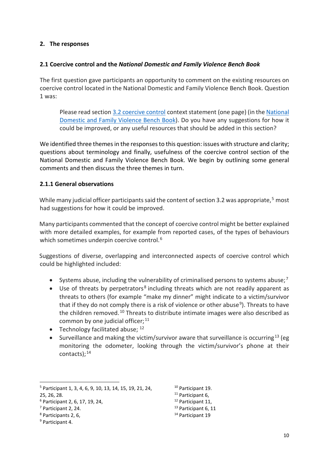#### <span id="page-10-0"></span>**2. The responses**

#### <span id="page-10-1"></span>**2.1 Coercive control and the** *National Domestic and Family Violence Bench Book*

The first question gave participants an opportunity to comment on the existing resources on coercive control located in the National Domestic and Family Violence Bench Book. Question 1 was:

Please read section [3.2 coercive control](https://protect-au.mimecast.com/s/aLT2CNLwzjF0qJ4XOUmVMq2?domain=urldefense.com) context statement (one page) (in the [National](https://protect-au.mimecast.com/s/6hLoCOMxAkspLlW47CvmQjE?domain=urldefense.com)  [Domestic and Family Violence Bench Book\)](https://protect-au.mimecast.com/s/6hLoCOMxAkspLlW47CvmQjE?domain=urldefense.com). Do you have any suggestions for how it could be improved, or any useful resources that should be added in this section?

We identified three themes in the responses to this question: issues with structure and clarity; questions about terminology and finally, usefulness of the coercive control section of the National Domestic and Family Violence Bench Book. We begin by outlining some general comments and then discuss the three themes in turn.

#### <span id="page-10-2"></span>**2.1.1 General observations**

While many judicial officer participants said the content of section 3.2 was appropriate,<sup>[5](#page-10-3)</sup> most had suggestions for how it could be improved.

Many participants commented that the concept of coercive control might be better explained with more detailed examples, for example from reported cases, of the types of behaviours which sometimes underpin coercive control.<sup>6</sup>

Suggestions of diverse, overlapping and interconnected aspects of coercive control which could be highlighted included:

- Systems abuse, including the vulnerability of criminalised persons to systems abuse;<sup>[7](#page-10-5)</sup>
- Use of threats by perpetrators<sup>[8](#page-10-6)</sup> including threats which are not readily apparent as threats to others (for example "make my dinner" might indicate to a victim/survivor that if they do not comply there is a risk of violence or other abuse<sup>9</sup>). Threats to have the children removed.<sup>[10](#page-10-3)</sup> Threats to distribute intimate images were also described as common by one judicial officer;  $11$
- Technology facilitated abuse;  $12$
- Surveillance and making the victim/survivor aware that surveillance is occurring<sup>[13](#page-10-5)</sup> (eg monitoring the odometer, looking through the victim/survivor's phone at their contacts); $14$

- <span id="page-10-5"></span><sup>7</sup> Participant 2, 24.
- <span id="page-10-6"></span><sup>8</sup> Participants 2, 6,
- <span id="page-10-7"></span><sup>9</sup> Participant 4.
- <sup>10</sup> Participant 19. <sup>11</sup> Participant 6,
- 
- <sup>12</sup> Participant 11,<br><sup>13</sup> Participant 6, 11
- <sup>14</sup> Participant 19

<span id="page-10-3"></span><sup>5</sup> Participant 1, 3, 4, 6, 9, 10, 13, 14, 15, 19, 21, 24,

<span id="page-10-8"></span><sup>25, 26, 28.</sup>

<span id="page-10-4"></span><sup>6</sup> Participant 2, 6, 17, 19, 24,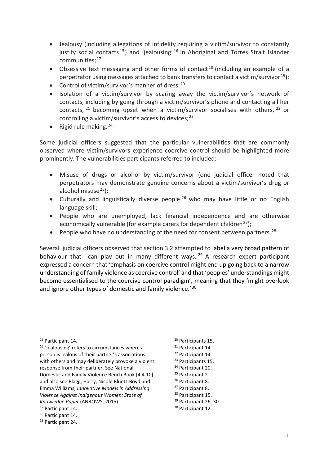- Jealousy (including allegations of infidelity requiring a victim/survivor to constantly justify social contacts<sup>[15](#page-11-0)</sup>) and 'jealousing'  $16$  in Aboriginal and Torres Strait Islander communities;[17](#page-11-2)
- Obsessive text messaging and other forms of contact<sup>[18](#page-11-3)</sup> (including an example of a perpetrator using messages attached to bank transfers to contact a victim/survivor<sup>[19](#page-11-4)</sup>);
- Control of victim/survivor's manner of dress; $^{20}$  $^{20}$  $^{20}$
- Isolation of a victim/survivor by scaring away the victim/survivor's network of contacts, including by going through a victim/survivor's phone and contacting all her contacts,  $21$  becoming upset when a victim/survivor socialises with others,  $22$  or controlling a victim/survivor's access to devices; $^{23}$  $^{23}$  $^{23}$
- Rigid rule making.  $24$

Some judicial officers suggested that the particular vulnerabilities that are commonly observed where victim/survivors experience coercive control should be highlighted more prominently. The vulnerabilities participants referred to included:

- Misuse of drugs or alcohol by victim/survivor (one judicial officer noted that perpetrators may demonstrate genuine concerns about a victim/survivor's drug or alcohol misuse $^{25}$  $^{25}$  $^{25}$ ):
- Culturally and linguistically diverse people<sup>[26](#page-11-9)</sup> who may have little or no English language skill;
- People who are unemployed, lack financial independence and are otherwise economically vulnerable (for example carers for dependent children<sup>[27](#page-11-10)</sup>);
- People who have no understanding of the need for consent between partners.<sup>[28](#page-11-11)</sup>

Several judicial officers observed that section 3.2 attempted to label a very broad pattern of behaviour that can play out in many different ways.  $29$  A research expert participant expressed a concern that 'emphasis on coercive control might end up going back to a narrow understanding of family violence as coercive control' and that 'peoples' understandings might become essentialised to the coercive control paradigm', meaning that they 'might overlook and ignore other types of domestic and family violence.<sup>'[30](#page-11-2)</sup>

<sup>20</sup> Participants 15.<br><sup>21</sup> Participant 14. <sup>22</sup> Participant 14 <sup>23</sup> Participants 15.<br><sup>24</sup> Participant 20.<br><sup>25</sup> Participant 2. <sup>26</sup> Participant 8.<br><sup>27</sup> Participant 8.<br><sup>28</sup> Participant 15.<br><sup>29</sup> Participant 26, 30. <sup>30</sup> Participant 12.

<span id="page-11-0"></span><sup>&</sup>lt;sup>15</sup> Participant 14.

<span id="page-11-8"></span><span id="page-11-7"></span><span id="page-11-6"></span><span id="page-11-5"></span><span id="page-11-1"></span><sup>&</sup>lt;sup>16</sup> 'Jealousing' refers to circumstances where a person is jealous of their partner's associations with others and may deliberately provoke a violent response from their partner. See National Domestic and Family Violence Bench Book [4.4.10] and also see Blagg, Harry, Nicole Bluett-Boyd and Emma Williams, *Innovative Models in Addressing Violence Against Indigenous Women: State of Knowledge Paper* (ANROWS, 2015).

<span id="page-11-12"></span><span id="page-11-11"></span><span id="page-11-10"></span><span id="page-11-9"></span><span id="page-11-2"></span><sup>&</sup>lt;sup>17</sup> Participant 14.<br><sup>18</sup> Participant 14.

<span id="page-11-4"></span><span id="page-11-3"></span><sup>19</sup> Participant 24.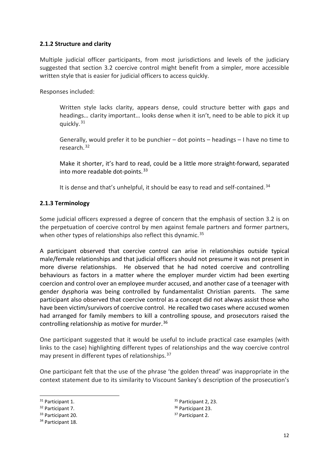#### <span id="page-12-0"></span>**2.1.2 Structure and clarity**

Multiple judicial officer participants, from most jurisdictions and levels of the judiciary suggested that section 3.2 coercive control might benefit from a simpler, more accessible written style that is easier for judicial officers to access quickly.

Responses included:

Written style lacks clarity, appears dense, could structure better with gaps and headings… clarity important… looks dense when it isn't, need to be able to pick it up quickly. [31](#page-12-2)

Generally, would prefer it to be punchier – dot points – headings – I have no time to research.[32](#page-12-3)

Make it shorter, it's hard to read, could be a little more straight-forward, separated into more readable dot-points.<sup>[33](#page-12-4)</sup>

It is dense and that's unhelpful, it should be easy to read and self-contained.<sup>[34](#page-12-5)</sup>

#### <span id="page-12-1"></span>**2.1.3 Terminology**

Some judicial officers expressed a degree of concern that the emphasis of section 3.2 is on the perpetuation of coercive control by men against female partners and former partners, when other types of relationships also reflect this dynamic.<sup>[35](#page-12-2)</sup>

A participant observed that coercive control can arise in relationships outside typical male/female relationships and that judicial officers should not presume it was not present in more diverse relationships. He observed that he had noted coercive and controlling behaviours as factors in a matter where the employer murder victim had been exerting coercion and control over an employee murder accused, and another case of a teenager with gender dysphoria was being controlled by fundamentalist Christian parents. The same participant also observed that coercive control as a concept did not always assist those who have been victim/survivors of coercive control. He recalled two cases where accused women had arranged for family members to kill a controlling spouse, and prosecutors raised the controlling relationship as motive for murder.  $36$ 

One participant suggested that it would be useful to include practical case examples (with links to the case) highlighting different types of relationships and the way coercive control may present in different types of relationships. 37

One participant felt that the use of the phrase 'the golden thread' was inappropriate in the context statement due to its similarity to Viscount Sankey's description of the prosecution's

<sup>35</sup> Participant 2, 23. <sup>36</sup> Participant 23. <sup>37</sup> Participant 2.

<span id="page-12-2"></span><sup>&</sup>lt;sup>31</sup> Participant 1.

<span id="page-12-3"></span><sup>32</sup> Participant 7.

<span id="page-12-4"></span><sup>33</sup> Participant 20.

<span id="page-12-5"></span><sup>34</sup> Participant 18.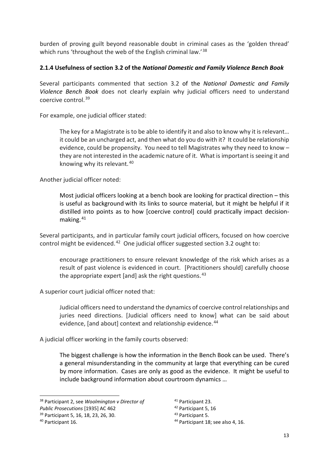burden of proving guilt beyond reasonable doubt in criminal cases as the 'golden thread' which runs 'throughout the web of the English criminal law.'<sup>38</sup>

### <span id="page-13-0"></span>**2.1.4 Usefulness of section 3.2 of the** *National Domestic and Family Violence Bench Book*

Several participants commented that section 3.2 of the *National Domestic and Family Violence Bench Book* does not clearly explain why judicial officers need to understand coercive control.[39](#page-13-2) 

For example, one judicial officer stated:

The key for a Magistrate is to be able to identify it and also to know why it is relevant… it could be an uncharged act, and then what do you do with it? It could be relationship evidence, could be propensity. You need to tell Magistrates why they need to know – they are not interested in the academic nature of it. What is important is seeing it and knowing why its relevant. [40](#page-13-3)

Another judicial officer noted:

Most judicial officers looking at a bench book are looking for practical direction – this is useful as background with its links to source material, but it might be helpful if it distilled into points as to how [coercive control] could practically impact decisionmaking. [41](#page-13-1)

Several participants, and in particular family court judicial officers, focused on how coercive control might be evidenced.<sup>[42](#page-13-4)</sup> One judicial officer suggested section 3.2 ought to:

encourage practitioners to ensure relevant knowledge of the risk which arises as a result of past violence is evidenced in court. [Practitioners should] carefully choose the appropriate expert [and] ask the right questions.  $43$ 

A superior court judicial officer noted that:

Judicial officers need to understand the dynamics of coercive control relationships and juries need directions. [Judicial officers need to know] what can be said about evidence. [and about] context and relationship evidence.<sup>[44](#page-13-3)</sup>

A judicial officer working in the family courts observed:

The biggest challenge is how the information in the Bench Book can be used. There's a general misunderstanding in the community at large that everything can be cured by more information. Cases are only as good as the evidence. It might be useful to include background information about courtroom dynamics …

- <span id="page-13-4"></span>*Public Prosecutions* [1935] AC 462
- <span id="page-13-2"></span><sup>39</sup> Participant 5, 16, 18, 23, 26, 30.

<sup>41</sup> Participant 23.

<sup>44</sup> Participant 18; see also 4, 16.

<span id="page-13-1"></span><sup>38</sup> Participant 2, see *Woolmington v Director of* 

<span id="page-13-3"></span><sup>40</sup> Participant 16.

<sup>42</sup> Participant 5, 16

<sup>43</sup> Participant 5.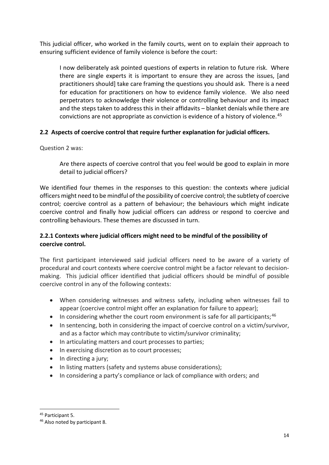This judicial officer, who worked in the family courts, went on to explain their approach to ensuring sufficient evidence of family violence is before the court:

I now deliberately ask pointed questions of experts in relation to future risk. Where there are single experts it is important to ensure they are across the issues, [and practitioners should] take care framing the questions you should ask. There is a need for education for practitioners on how to evidence family violence. We also need perpetrators to acknowledge their violence or controlling behaviour and its impact and the steps taken to address this in their affidavits – blanket denials while there are convictions are not appropriate as conviction is evidence of a history of violence.[45](#page-14-2)

## <span id="page-14-0"></span>**2.2 Aspects of coercive control that require further explanation for judicial officers.**

Question 2 was:

Are there aspects of coercive control that you feel would be good to explain in more detail to judicial officers?

We identified four themes in the responses to this question: the contexts where judicial officers might need to be mindful of the possibility of coercive control; the subtlety of coercive control; coercive control as a pattern of behaviour; the behaviours which might indicate coercive control and finally how judicial officers can address or respond to coercive and controlling behaviours. These themes are discussed in turn.

## <span id="page-14-1"></span>**2.2.1 Contexts where judicial officers might need to be mindful of the possibility of coercive control.**

The first participant interviewed said judicial officers need to be aware of a variety of procedural and court contexts where coercive control might be a factor relevant to decisionmaking. This judicial officer identified that judicial officers should be mindful of possible coercive control in any of the following contexts:

- When considering witnesses and witness safety, including when witnesses fail to appear (coercive control might offer an explanation for failure to appear);
- In considering whether the court room environment is safe for all participants;  $46$
- In sentencing, both in considering the impact of coercive control on a victim/survivor, and as a factor which may contribute to victim/survivor criminality;
- In articulating matters and court processes to parties;
- In exercising discretion as to court processes;
- In directing a jury;
- In listing matters (safety and systems abuse considerations);
- In considering a party's compliance or lack of compliance with orders; and

<span id="page-14-2"></span><sup>45</sup> Participant 5.

<span id="page-14-3"></span><sup>46</sup> Also noted by participant 8.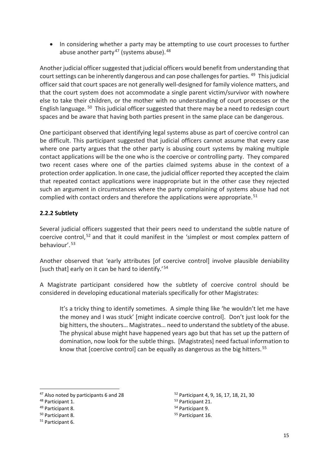• In considering whether a party may be attempting to use court processes to further abuse another party<sup>[47](#page-15-1)</sup> (systems abuse).  $48$ 

Another judicial officer suggested that judicial officers would benefit from understanding that court settings can be inherently dangerous and can pose challenges for parties. [49](#page-15-3) This judicial officer said that court spaces are not generally well-designed for family violence matters, and that the court system does not accommodate a single parent victim/survivor with nowhere else to take their children, or the mother with no understanding of court processes or the English language. [50](#page-15-4) This judicial officer suggested that there may be a need to redesign court spaces and be aware that having both parties present in the same place can be dangerous.

One participant observed that identifying legal systems abuse as part of coercive control can be difficult. This participant suggested that judicial officers cannot assume that every case where one party argues that the other party is abusing court systems by making multiple contact applications will be the one who is the coercive or controlling party. They compared two recent cases where one of the parties claimed systems abuse in the context of a protection order application. In one case, the judicial officer reported they accepted the claim that repeated contact applications were inappropriate but in the other case they rejected such an argument in circumstances where the party complaining of systems abuse had not complied with contact orders and therefore the applications were appropriate.<sup>[51](#page-15-5)</sup>

## <span id="page-15-0"></span>**2.2.2 Subtlety**

Several judicial officers suggested that their peers need to understand the subtle nature of coercive control,<sup>[52](#page-15-1)</sup> and that it could manifest in the 'simplest or most complex pattern of behaviour'.[53](#page-15-2)

Another observed that 'early attributes [of coercive control] involve plausible deniability [such that] early on it can be hard to identify.'[54](#page-15-3)

A Magistrate participant considered how the subtlety of coercive control should be considered in developing educational materials specifically for other Magistrates:

It's a tricky thing to identify sometimes. A simple thing like 'he wouldn't let me have the money and I was stuck' [might indicate coercive control]. Don't just look for the big hitters, the shouters… Magistrates… need to understand the subtlety of the abuse. The physical abuse might have happened years ago but that has set up the pattern of domination, now look for the subtle things. [Magistrates] need factual information to know that [coercive control] can be equally as dangerous as the big hitters.<sup>[55](#page-15-4)</sup>

<sup>52</sup> Participant 4, 9, 16, 17, 18, 21, 30

<sup>53</sup> Participant 21.

<span id="page-15-1"></span><sup>47</sup> Also noted by participants 6 and 28

<span id="page-15-2"></span><sup>48</sup> Participant 1.

<span id="page-15-3"></span><sup>49</sup> Participant 8.

<span id="page-15-4"></span><sup>50</sup> Participant 8.

<span id="page-15-5"></span><sup>51</sup> Participant 6.

<sup>54</sup> Participant 9.

<sup>55</sup> Participant 16.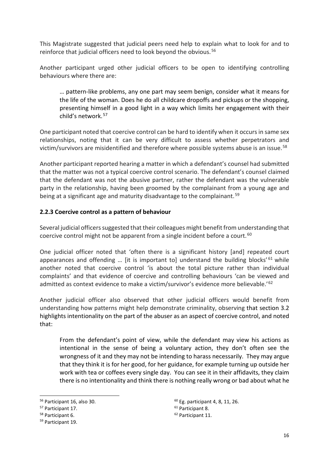This Magistrate suggested that judicial peers need help to explain what to look for and to reinforce that judicial officers need to look beyond the obvious.<sup>[56](#page-16-1)</sup>

Another participant urged other judicial officers to be open to identifying controlling behaviours where there are:

… pattern-like problems, any one part may seem benign, consider what it means for the life of the woman. Does he do all childcare dropoffs and pickups or the shopping, presenting himself in a good light in a way which limits her engagement with their child's network. [57](#page-16-2)

One participant noted that coercive control can be hard to identify when it occurs in same sex relationships, noting that it can be very difficult to assess whether perpetrators and victim/survivors are misidentified and therefore where possible systems abuse is an issue. [58](#page-16-3) 

Another participant reported hearing a matter in which a defendant's counsel had submitted that the matter was not a typical coercive control scenario. The defendant's counsel claimed that the defendant was not the abusive partner, rather the defendant was the vulnerable party in the relationship, having been groomed by the complainant from a young age and being at a significant age and maturity disadvantage to the complainant.<sup>[59](#page-16-4)</sup>

## <span id="page-16-0"></span>**2.2.3 Coercive control as a pattern of behaviour**

Several judicial officers suggested that their colleagues might benefit from understanding that coercive control might not be apparent from a single incident before a court.<sup>60</sup>

One judicial officer noted that 'often there is a significant history [and] repeated court appearances and offending ... [it is important to] understand the building blocks'  $61$  while another noted that coercive control 'is about the total picture rather than individual complaints' and that evidence of coercive and controlling behaviours 'can be viewed and admitted as context evidence to make a victim/survivor's evidence more believable.'<sup>62</sup>

Another judicial officer also observed that other judicial officers would benefit from understanding how patterns might help demonstrate criminality, observing that section 3.2 highlights intentionality on the part of the abuser as an aspect of coercive control, and noted that:

From the defendant's point of view, while the defendant may view his actions as intentional in the sense of being a voluntary action, they don't often see the wrongness of it and they may not be intending to harass necessarily. They may argue that they think it is for her good, for her guidance, for example turning up outside her work with tea or coffees every single day. You can see it in their affidavits, they claim there is no intentionality and think there is nothing really wrong or bad about what he

<span id="page-16-1"></span><sup>56</sup> Participant 16, also 30.

<span id="page-16-2"></span><sup>57</sup> Participant 17.

<span id="page-16-3"></span><sup>58</sup> Participant 6.

<span id="page-16-4"></span><sup>59</sup> Participant 19.

<sup>60</sup> Eg. participant 4, 8, 11, 26.

<sup>61</sup> Participant 8.

<sup>62</sup> Participant 11.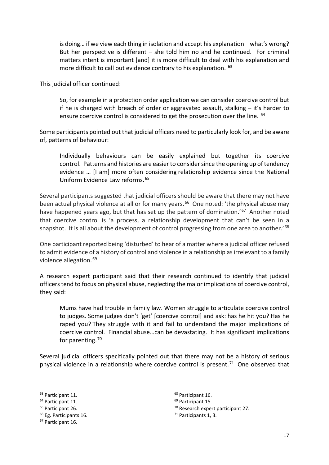is doing… if we view each thing in isolation and accept his explanation – what's wrong? But her perspective is different – she told him no and he continued. For criminal matters intent is important [and] it is more difficult to deal with his explanation and more difficult to call out evidence contrary to his explanation. [63](#page-17-0)

This judicial officer continued:

So, for example in a protection order application we can consider coercive control but if he is charged with breach of order or aggravated assault, stalking – it's harder to ensure coercive control is considered to get the prosecution over the line. <sup>[64](#page-17-1)</sup>

Some participants pointed out that judicial officers need to particularly look for, and be aware of, patterns of behaviour:

Individually behaviours can be easily explained but together its coercive control. Patterns and histories are easier to consider since the opening up of tendency evidence … [I am] more often considering relationship evidence since the National Uniform Evidence Law reforms.[65](#page-17-2)

Several participants suggested that judicial officers should be aware that there may not have been actual physical violence at all or for many years.<sup>66</sup> One noted: 'the physical abuse may have happened years ago, but that has set up the pattern of domination.'<sup>[67](#page-17-4)</sup> Another noted that coercive control is 'a process, a relationship development that can't be seen in a snapshot. It is all about the development of control progressing from one area to another.<sup>1[68](#page-17-0)</sup>

One participant reported being 'disturbed' to hear of a matter where a judicial officer refused to admit evidence of a history of control and violence in a relationship as irrelevant to a family violence allegation.<sup>[69](#page-17-1)</sup>

A research expert participant said that their research continued to identify that judicial officers tend to focus on physical abuse, neglecting the major implications of coercive control, they said:

Mums have had trouble in family law. Women struggle to articulate coercive control to judges. Some judges don't 'get' [coercive control] and ask: has he hit you? Has he raped you? They struggle with it and fail to understand the major implications of coercive control. Financial abuse…can be devastating. It has significant implications for parenting.<sup>[70](#page-17-2)</sup>

Several judicial officers specifically pointed out that there may not be a history of serious physical violence in a relationship where coercive control is present.<sup>[71](#page-17-3)</sup> One observed that

<sup>68</sup> Participant 16.

<span id="page-17-1"></span><span id="page-17-0"></span> $63$  Participant 11.<br> $64$  Participant 11.<br> $65$  Participant 26.

<span id="page-17-2"></span>

<span id="page-17-3"></span><sup>&</sup>lt;sup>66</sup> Eg. Participants 16.

<span id="page-17-4"></span><sup>67</sup> Participant 16.

<sup>69</sup> Participant 15.

<sup>70</sup> Research expert participant 27.

<sup>71</sup> Participants 1, 3.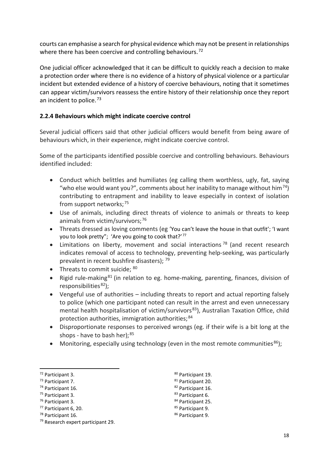courts can emphasise a search for physical evidence which may not be present in relationships where there has been coercive and controlling behaviours.<sup>72</sup>

One judicial officer acknowledged that it can be difficult to quickly reach a decision to make a protection order where there is no evidence of a history of physical violence or a particular incident but extended evidence of a history of coercive behaviours, noting that it sometimes can appear victim/survivors reassess the entire history of their relationship once they report an incident to police. $73$ 

#### <span id="page-18-0"></span>**2.2.4 Behaviours which might indicate coercive control**

Several judicial officers said that other judicial officers would benefit from being aware of behaviours which, in their experience, might indicate coercive control.

Some of the participants identified possible coercive and controlling behaviours. Behaviours identified included:

- Conduct which belittles and humiliates (eg calling them worthless, ugly, fat, saying "who else would want you?", comments about her inability to manage without him<sup>74</sup>) contributing to entrapment and inability to leave especially in context of isolation from support networks;<sup>[75](#page-18-4)</sup>
- Use of animals, including direct threats of violence to animals or threats to keep animals from victim/survivors:<sup>[76](#page-18-5)</sup>
- Threats dressed as loving comments (eg 'You can't leave the house in that outfit'; 'I want you to look pretty"; 'Are you going to cook that?'<sup>[77](#page-18-6)</sup>
- Limitations on liberty, movement and social interactions<sup>[78](#page-18-7)</sup> (and recent research indicates removal of access to technology, preventing help-seeking, was particularly prevalent in recent bushfire disasters); [79](#page-18-8)
- Threats to commit suicide: [80](#page-18-1)
- Rigid rule-making<sup>[81](#page-18-2)</sup> (in relation to eg. home-making, parenting, finances, division of responsibilities $82$ );
- Vengeful use of authorities including threats to report and actual reporting falsely to police (which one participant noted can result in the arrest and even unnecessary mental health hospitalisation of victim/survivors<sup>[83](#page-18-4)</sup>), Australian Taxation Office, child protection authorities, immigration authorities; [84](#page-18-5)
- Disproportionate responses to perceived wrongs (eg. if their wife is a bit long at the shops - have to bash her);  $85$
- Monitoring, especially using technology (even in the most remote communities<sup>86</sup>);

- <span id="page-18-3"></span><sup>74</sup> Participant 16.
- <span id="page-18-4"></span><sup>75</sup> Participant 3.
- <span id="page-18-5"></span><sup>76</sup> Participant 3.
- <span id="page-18-6"></span><sup>77</sup> Participant 6, 20.
- <span id="page-18-7"></span><sup>78</sup> Participant 16.
- <sup>80</sup> Participant 19.
- 81 Participant 20.
- <sup>82</sup> Participant 16.
- 83 Participant 6.
- 84 Participant 25.
- 85 Participant 9.
- <sup>86</sup> Participant 9.

<span id="page-18-1"></span><sup>72</sup> Participant 3.

<span id="page-18-2"></span><sup>73</sup> Participant 7.

<span id="page-18-8"></span><sup>79</sup> Research expert participant 29.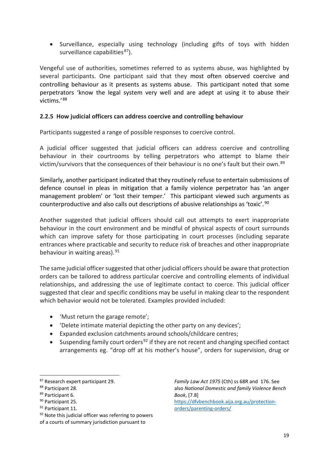• Surveillance, especially using technology (including gifts of toys with hidden surveillance capabilities<sup>87</sup>).

Vengeful use of authorities, sometimes referred to as systems abuse, was highlighted by several participants. One participant said that they most often observed coercive and controlling behaviour as it presents as systems abuse. This participant noted that some perpetrators 'know the legal system very well and are adept at using it to abuse their victims.' [88](#page-19-2)

#### <span id="page-19-0"></span>**2.2.5 How judicial officers can address coercive and controlling behaviour**

Participants suggested a range of possible responses to coercive control.

A judicial officer suggested that judicial officers can address coercive and controlling behaviour in their courtrooms by telling perpetrators who attempt to blame their victim/survivors that the consequences of their behaviour is no one's fault but their own.<sup>89</sup>

Similarly, another participant indicated that they routinely refuse to entertain submissions of defence counsel in pleas in mitigation that a family violence perpetrator has 'an anger management problem' or 'lost their temper.' This participant viewed such arguments as counterproductive and also calls out descriptions of abusive relationships as 'toxic'.[90](#page-19-4)

Another suggested that judicial officers should call out attempts to exert inappropriate behaviour in the court environment and be mindful of physical aspects of court surrounds which can improve safety for those participating in court processes (including separate entrances where practicable and security to reduce risk of breaches and other inappropriate behaviour in waiting areas). [91](#page-19-5)

The same judicial officer suggested that other judicial officers should be aware that protection orders can be tailored to address particular coercive and controlling elements of individual relationships, and addressing the use of legitimate contact to coerce. This judicial officer suggested that clear and specific conditions may be useful in making clear to the respondent which behavior would not be tolerated. Examples provided included:

- 'Must return the garage remote';
- 'Delete intimate material depicting the other party on any devices';
- Expanded exclusion catchments around schools/childcare centres;
- Suspending family court orders<sup>[92](#page-19-6)</sup> if they are not recent and changing specified contact arrangements eg. "drop off at his mother's house", orders for supervision, drug or

<span id="page-19-4"></span><sup>90</sup> Participant 25.

*Family Law Act 1975* (Cth) ss 68R and 176. See also *National Domestic and family Violence Bench Book*, [7.8] [https://dfvbenchbook.aija.org.au/protection-](https://dfvbenchbook.aija.org.au/protection-orders/parenting-orders/)

[orders/parenting-orders/](https://dfvbenchbook.aija.org.au/protection-orders/parenting-orders/) 

<span id="page-19-1"></span><sup>87</sup> Research expert participant 29.

<span id="page-19-2"></span><sup>88</sup> Participant 28.

<span id="page-19-3"></span><sup>89</sup> Participant 6.

<span id="page-19-5"></span><sup>&</sup>lt;sup>91</sup> Participant 11.

<span id="page-19-6"></span><sup>92</sup> Note this judicial officer was referring to powers of a courts of summary jurisdiction pursuant to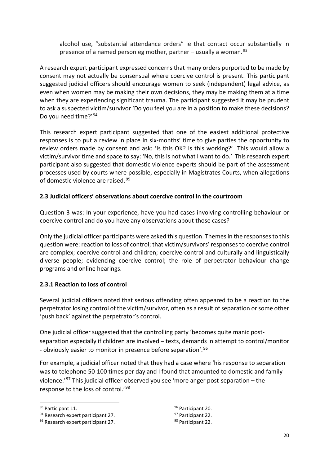alcohol use, "substantial attendance orders" ie that contact occur substantially in presence of a named person eg mother, partner – usually a woman. $93$ 

A research expert participant expressed concerns that many orders purported to be made by consent may not actually be consensual where coercive control is present. This participant suggested judicial officers should encourage women to seek (independent) legal advice, as even when women may be making their own decisions, they may be making them at a time when they are experiencing significant trauma. The participant suggested it may be prudent to ask a suspected victim/survivor 'Do you feel you are in a position to make these decisions? Do you need time?' [94](#page-20-3)

This research expert participant suggested that one of the easiest additional protective responses is to put a review in place in six-months' time to give parties the opportunity to review orders made by consent and ask: 'Is this OK? Is this working?' This would allow a victim/survivor time and space to say: 'No, this is not what I want to do.' This research expert participant also suggested that domestic violence experts should be part of the assessment processes used by courts where possible, especially in Magistrates Courts, when allegations of domestic violence are raised.<sup>95</sup>

## <span id="page-20-0"></span>**2.3 Judicial officers' observations about coercive control in the courtroom**

Question 3 was: In your experience, have you had cases involving controlling behaviour or coercive control and do you have any observations about those cases?

Only the judicial officer participants were asked this question. Themes in the responses to this question were: reaction to loss of control; that victim/survivors' responses to coercive control are complex; coercive control and children; coercive control and culturally and linguistically diverse people; evidencing coercive control; the role of perpetrator behaviour change programs and online hearings.

## <span id="page-20-1"></span>**2.3.1 Reaction to loss of control**

Several judicial officers noted that serious offending often appeared to be a reaction to the perpetrator losing control of the victim/survivor, often as a result of separation or some other 'push back' against the perpetrator's control.

One judicial officer suggested that the controlling party 'becomes quite manic postseparation especially if children are involved – texts, demands in attempt to control/monitor - obviously easier to monitor in presence before separation'.<sup>[96](#page-20-2)</sup>

For example, a judicial officer noted that they had a case where 'his response to separation was to telephone 50-100 times per day and I found that amounted to domestic and family violence.<sup>'[97](#page-20-3)</sup> This judicial officer observed you see 'more anger post-separation – the response to the loss of control.'[98](#page-20-4)

96 Participant 20. <sup>97</sup> Participant 22. <sup>98</sup> Participant 22.

<span id="page-20-2"></span><sup>93</sup> Participant 11.

<span id="page-20-3"></span><sup>94</sup> Research expert participant 27.

<span id="page-20-4"></span><sup>95</sup> Research expert participant 27.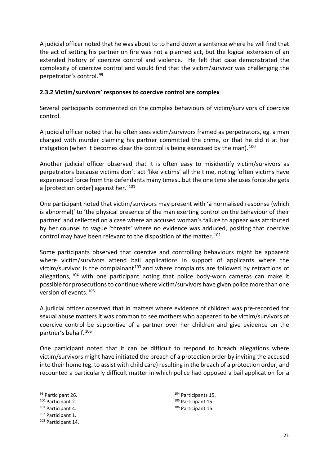A judicial officer noted that he was about to to hand down a sentence where he will find that the act of setting his partner on fire was not a planned act, but the logical extension of an extended history of coercive control and violence. He felt that case demonstrated the complexity of coercive control and would find that the victim/survivor was challenging the perpetrator's control. [99](#page-21-1)

#### <span id="page-21-0"></span>**2.3.2 Victim/survivors' responses to coercive control are complex**

Several participants commented on the complex behaviours of victim/survivors of coercive control.

A judicial officer noted that he often sees victim/survivors framed as perpetrators, eg. a man charged with murder claiming his partner committed the crime, or that he did it at her instigation (when it becomes clear the control is being exercised by the man).  $100$ 

Another judicial officer observed that it is often easy to misidentify victim/survivors as perpetrators because victims don't act 'like victims' all the time, noting 'often victims have experienced force from the defendants many times…but the one time she uses force she gets a [protection order] against her.'<sup>[101](#page-21-3)</sup>

One participant noted that victim/survivors may present with 'a normalised response (which is abnormal)' to 'the physical presence of the man exerting control on the behaviour of their partner' and reflected on a case where an accused woman's failure to appear was attributed by her counsel to vague 'threats' where no evidence was adduced, positing that coercive control may have been relevant to the disposition of the matter.<sup>[102](#page-21-4)</sup>

Some participants observed that coercive and controlling behaviours might be apparent where victim/survivors attend bail applications in support of applicants where the victim/survivor is the complainant<sup>[103](#page-21-5)</sup> and where complaints are followed by retractions of allegations, <sup>[104](#page-21-1)</sup> with one participant noting that police body-worn cameras can make it possible for prosecutions to continue where victim/survivors have given police more than one version of events. [105](#page-21-2) 

A judicial officer observed that in matters where evidence of children was pre-recorded for sexual abuse matters it was common to see mothers who appeared to be victim/survivors of coercive control be supportive of a partner over her children and give evidence on the partner's behalf.<sup>[106](#page-21-3)</sup>

One participant noted that it can be difficult to respond to breach allegations where victim/survivors might have initiated the breach of a protection order by inviting the accused into their home (eg. to assist with child care) resulting in the breach of a protection order, and recounted a particularly difficult matter in which police had opposed a bail application for a

<sup>104</sup> Participants 15,<br><sup>105</sup> Participant 15.

<span id="page-21-1"></span><sup>99</sup> Participant 26.

<span id="page-21-2"></span><sup>100</sup> Participant 2.

<span id="page-21-3"></span><sup>101</sup> Participant 4.

<span id="page-21-4"></span><sup>102</sup> Participant 1.

<span id="page-21-5"></span><sup>103</sup> Participant 14.

<sup>106</sup> Participant 15.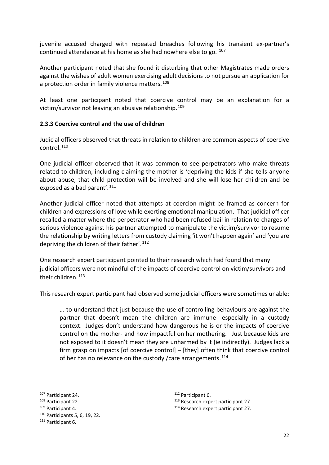juvenile accused charged with repeated breaches following his transient ex-partner's continued attendance at his home as she had nowhere else to go.  $107$ 

Another participant noted that she found it disturbing that other Magistrates made orders against the wishes of adult women exercising adult decisions to not pursue an application for a protection order in family violence matters.<sup>[108](#page-22-2)</sup>

At least one participant noted that coercive control may be an explanation for a victim/survivor not leaving an abusive relationship.<sup>[109](#page-22-3)</sup>

#### <span id="page-22-0"></span>**2.3.3 Coercive control and the use of children**

Judicial officers observed that threats in relation to children are common aspects of coercive control.<sup>[110](#page-22-4)</sup>

One judicial officer observed that it was common to see perpetrators who make threats related to children, including claiming the mother is 'depriving the kids if she tells anyone about abuse, that child protection will be involved and she will lose her children and be exposed as a bad parent'.<sup>[111](#page-22-5)</sup>

Another judicial officer noted that attempts at coercion might be framed as concern for children and expressions of love while exerting emotional manipulation. That judicial officer recalled a matter where the perpetrator who had been refused bail in relation to charges of serious violence against his partner attempted to manipulate the victim/survivor to resume the relationship by writing letters from custody claiming 'it won't happen again' and 'you are depriving the children of their father'.<sup>[112](#page-22-1)</sup>

One research expert participant pointed to their research which had found that many judicial officers were not mindful of the impacts of coercive control on victim/survivors and their children.<sup>113</sup>

This research expert participant had observed some judicial officers were sometimes unable:

… to understand that just because the use of controlling behaviours are against the partner that doesn't mean the children are immune- especially in a custody context. Judges don't understand how dangerous he is or the impacts of coercive control on the mother- and how impactful on her mothering. Just because kids are not exposed to it doesn't mean they are unharmed by it (ie indirectly). Judges lack a firm grasp on impacts [of coercive control] – [they] often think that coercive control of her has no relevance on the custody / care arrangements.  $114$ 

<span id="page-22-1"></span><sup>107</sup> Participant 24.

<span id="page-22-2"></span><sup>108</sup> Participant 22.

<span id="page-22-3"></span><sup>109</sup> Participant 4.

<span id="page-22-4"></span><sup>110</sup> Participants 5, 6, 19, 22.

<span id="page-22-5"></span><sup>111</sup> Participant 6.

<sup>112</sup> Participant 6.

<sup>113</sup> Research expert participant 27.

<sup>114</sup> Research expert participant 27.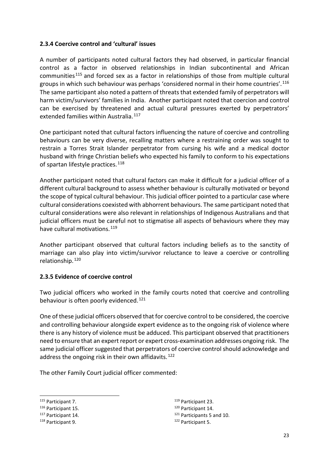#### <span id="page-23-0"></span>**2.3.4 Coercive control and 'cultural' issues**

A number of participants noted cultural factors they had observed, in particular financial control as a factor in observed relationships in Indian subcontinental and African communities [115](#page-23-2) and forced sex as a factor in relationships of those from multiple cultural groups in which such behaviour was perhaps 'considered normal in their home countries'.[116](#page-23-3) The same participant also noted a pattern of threats that extended family of perpetrators will harm victim/survivors' families in India. Another participant noted that coercion and control can be exercised by threatened and actual cultural pressures exerted by perpetrators' extended families within Australia.<sup>[117](#page-23-4)</sup>

One participant noted that cultural factors influencing the nature of coercive and controlling behaviours can be very diverse, recalling matters where a restraining order was sought to restrain a Torres Strait Islander perpetrator from cursing his wife and a medical doctor husband with fringe Christian beliefs who expected his family to conform to his expectations of spartan lifestyle practices.<sup>[118](#page-23-5)</sup>

Another participant noted that cultural factors can make it difficult for a judicial officer of a different cultural background to assess whether behaviour is culturally motivated or beyond the scope of typical cultural behaviour. This judicial officer pointed to a particular case where cultural considerations coexisted with abhorrent behaviours. The same participant noted that cultural considerations were also relevant in relationships of Indigenous Australians and that judicial officers must be careful not to stigmatise all aspects of behaviours where they may have cultural motivations.<sup>[119](#page-23-2)</sup>

Another participant observed that cultural factors including beliefs as to the sanctity of marriage can also play into victim/survivor reluctance to leave a coercive or controlling relationship.[120](#page-23-3)

#### <span id="page-23-1"></span>**2.3.5 Evidence of coercive control**

Two judicial officers who worked in the family courts noted that coercive and controlling behaviour is often poorly evidenced.<sup>121</sup>

One of these judicial officers observed that for coercive control to be considered, the coercive and controlling behaviour alongside expert evidence as to the ongoing risk of violence where there is any history of violence must be adduced. This participant observed that practitioners need to ensure that an expert report or expert cross-examination addresses ongoing risk. The same judicial officer suggested that perpetrators of coercive control should acknowledge and address the ongoing risk in their own affidavits.<sup>[122](#page-23-5)</sup>

The other Family Court judicial officer commented:

<sup>119</sup> Participant 23.

- <sup>120</sup> Participant 14.
- 121 Participants 5 and 10.
- <sup>122</sup> Participant 5.

<span id="page-23-2"></span><sup>115</sup> Participant 7.

<span id="page-23-3"></span><sup>116</sup> Participant 15.

<span id="page-23-4"></span><sup>117</sup> Participant 14.

<span id="page-23-5"></span><sup>118</sup> Participant 9.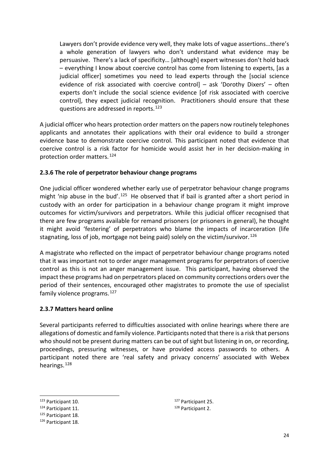Lawyers don't provide evidence very well, they make lots of vague assertions…there's a whole generation of lawyers who don't understand what evidence may be persuasive. There's a lack of specificity… [although] expert witnesses don't hold back – everything I know about coercive control has come from listening to experts, [as a judicial officer] sometimes you need to lead experts through the [social science evidence of risk associated with coercive control] – ask 'Dorothy Dixers' – often experts don't include the social science evidence [of risk associated with coercive control], they expect judicial recognition. Practitioners should ensure that these questions are addressed in reports.[123](#page-24-2)

A judicial officer who hears protection order matters on the papers now routinely telephones applicants and annotates their applications with their oral evidence to build a stronger evidence base to demonstrate coercive control. This participant noted that evidence that coercive control is a risk factor for homicide would assist her in her decision-making in protection order matters. [124](#page-24-3)

#### <span id="page-24-0"></span>**2.3.6 The role of perpetrator behaviour change programs**

One judicial officer wondered whether early use of perpetrator behaviour change programs might 'nip abuse in the bud'.<sup>[125](#page-24-4)</sup> He observed that if bail is granted after a short period in custody with an order for participation in a behaviour change program it might improve outcomes for victim/survivors and perpetrators. While this judicial officer recognised that there are few programs available for remand prisoners (or prisoners in general), he thought it might avoid 'festering' of perpetrators who blame the impacts of incarceration (life stagnating, loss of job, mortgage not being paid) solely on the victim/survivor. [126](#page-24-5)

A magistrate who reflected on the impact of perpetrator behaviour change programs noted that it was important not to order anger management programs for perpetrators of coercive control as this is not an anger management issue. This participant, having observed the impact these programs had on perpetrators placed on community corrections orders over the period of their sentences, encouraged other magistrates to promote the use of specialist family violence programs. [127](#page-24-2)

#### <span id="page-24-1"></span>**2.3.7 Matters heard online**

Several participants referred to difficulties associated with online hearings where there are allegations of domestic and family violence. Participants noted that there is a risk that persons who should not be present during matters can be out of sight but listening in on, or recording, proceedings, pressuring witnesses, or have provided access passwords to others. A participant noted there are 'real safety and privacy concerns' associated with Webex hearings.<sup>[128](#page-24-3)</sup>

<sup>127</sup> Participant 25. <sup>128</sup> Participant 2.

<span id="page-24-2"></span><sup>123</sup> Participant 10.

<span id="page-24-3"></span><sup>124</sup> Participant 11.

<span id="page-24-4"></span><sup>125</sup> Participant 18.

<span id="page-24-5"></span><sup>126</sup> Participant 18.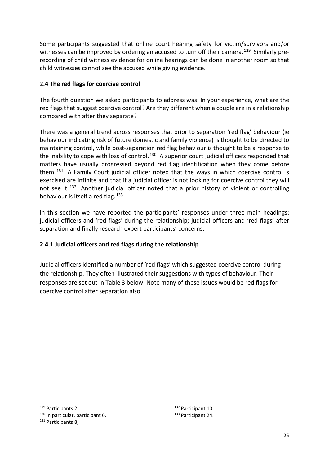Some participants suggested that online court hearing safety for victim/survivors and/or witnesses can be improved by ordering an accused to turn off their camera.<sup>129</sup> Similarly prerecording of child witness evidence for online hearings can be done in another room so that child witnesses cannot see the accused while giving evidence.

## <span id="page-25-0"></span>**2.4 The red flags for coercive control**

The fourth question we asked participants to address was: In your experience, what are the red flags that suggest coercive control? Are they different when a couple are in a relationship compared with after they separate?

There was a general trend across responses that prior to separation 'red flag' behaviour (ie behaviour indicating risk of future domestic and family violence) is thought to be directed to maintaining control, while post-separation red flag behaviour is thought to be a response to the inability to cope with loss of control.<sup>[130](#page-25-3)</sup> A superior court judicial officers responded that matters have usually progressed beyond red flag identification when they come before them.  $131$  A Family Court judicial officer noted that the ways in which coercive control is exercised are infinite and that if a judicial officer is not looking for coercive control they will not see it.<sup>[132](#page-25-2)</sup> Another judicial officer noted that a prior history of violent or controlling behaviour is itself a red flag.  $133$ 

In this section we have reported the participants' responses under three main headings: judicial officers and 'red flags' during the relationship; judicial officers and 'red flags' after separation and finally research expert participants' concerns.

## <span id="page-25-1"></span>**2.4.1 Judicial officers and red flags during the relationship**

Judicial officers identified a number of 'red flags' which suggested coercive control during the relationship. They often illustrated their suggestions with types of behaviour. Their responses are set out in Table 3 below. Note many of these issues would be red flags for coercive control after separation also.

<span id="page-25-3"></span><span id="page-25-2"></span><sup>129</sup> Participants 2.<br><sup>130</sup> In particular, participant 6.<br><sup>131</sup> Participants 8.

<sup>132</sup> Participant 10. <sup>133</sup> Participant 24.

<span id="page-25-4"></span>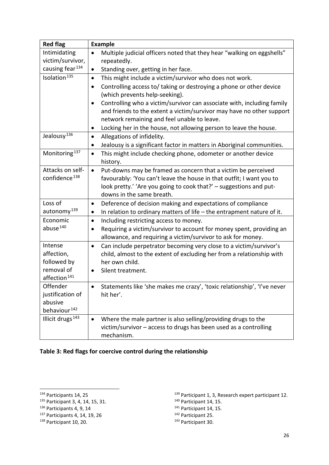| <b>Red flag</b>              | <b>Example</b>                                                                        |
|------------------------------|---------------------------------------------------------------------------------------|
| Intimidating                 | Multiple judicial officers noted that they hear "walking on eggshells"<br>$\bullet$   |
| victim/survivor,             | repeatedly.                                                                           |
| causing fear <sup>134</sup>  | Standing over, getting in her face.<br>$\bullet$                                      |
| Isolation <sup>135</sup>     | This might include a victim/survivor who does not work.<br>$\bullet$                  |
|                              | Controlling access to/ taking or destroying a phone or other device<br>$\bullet$      |
|                              | (which prevents help-seeking).                                                        |
|                              | Controlling who a victim/survivor can associate with, including family<br>$\bullet$   |
|                              | and friends to the extent a victim/survivor may have no other support                 |
|                              | network remaining and feel unable to leave.                                           |
|                              | Locking her in the house, not allowing person to leave the house.<br>$\bullet$        |
| Jealousy <sup>136</sup>      | Allegations of infidelity.<br>$\bullet$                                               |
|                              | Jealousy is a significant factor in matters in Aboriginal communities.<br>$\bullet$   |
| Monitoring <sup>137</sup>    | This might include checking phone, odometer or another device<br>$\bullet$            |
|                              | history.                                                                              |
| Attacks on self-             | Put-downs may be framed as concern that a victim be perceived<br>$\bullet$            |
| confidence <sup>138</sup>    | favourably: 'You can't leave the house in that outfit; I want you to                  |
|                              | look pretty.' 'Are you going to cook that?' - suggestions and put-                    |
|                              | downs in the same breath.                                                             |
| Loss of                      | Deference of decision making and expectations of compliance<br>$\bullet$              |
| autonomy <sup>139</sup>      | In relation to ordinary matters of life $-$ the entrapment nature of it.<br>$\bullet$ |
| Economic                     | Including restricting access to money.<br>$\bullet$                                   |
| abuse <sup>140</sup>         | Requiring a victim/survivor to account for money spent, providing an                  |
|                              | allowance, and requiring a victim/survivor to ask for money.                          |
| Intense                      | Can include perpetrator becoming very close to a victim/survivor's<br>$\bullet$       |
| affection,                   | child, almost to the extent of excluding her from a relationship with                 |
| followed by<br>removal of    | her own child.                                                                        |
| affection <sup>141</sup>     | Silent treatment.<br>$\bullet$                                                        |
| Offender                     | Statements like 'she makes me crazy', 'toxic relationship', 'I've never               |
| justification of             | hit her'.                                                                             |
| abusive                      |                                                                                       |
| behaviour <sup>142</sup>     |                                                                                       |
| Illicit drugs <sup>143</sup> | Where the male partner is also selling/providing drugs to the<br>$\bullet$            |
|                              | victim/survivor - access to drugs has been used as a controlling                      |
|                              | mechanism.                                                                            |

## **Table 3: Red flags for coercive control during the relationship**

<span id="page-26-1"></span><sup>135</sup> Participant 3, 4, 14, 15, 31.

<span id="page-26-3"></span><sup>137</sup> Participants 4, 14, 19, 26

- <sup>141</sup> Participant 14, 15.
- <sup>142</sup> Participant 25.

<span id="page-26-0"></span><sup>134</sup> Participants 14, 25

<span id="page-26-2"></span><sup>136</sup> Participants 4, 9, 14

<span id="page-26-4"></span><sup>138</sup> Participant 10, 20.

<sup>&</sup>lt;sup>139</sup> Participant 1, 3, Research expert participant 12.

<sup>140</sup> Participant 14, 15.

<sup>143</sup> Participant 30.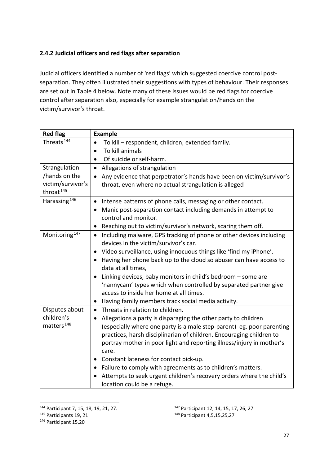## <span id="page-27-0"></span>**2.4.2 Judicial officers and red flags after separation**

Judicial officers identified a number of 'red flags' which suggested coercive control postseparation. They often illustrated their suggestions with types of behaviour. Their responses are set out in Table 4 below. Note many of these issues would be red flags for coercive control after separation also, especially for example strangulation/hands on the victim/survivor's throat.

| <b>Red flag</b>           | <b>Example</b>                                                                                        |
|---------------------------|-------------------------------------------------------------------------------------------------------|
| Threats <sup>144</sup>    | To kill - respondent, children, extended family.<br>٠                                                 |
|                           | To kill animals<br>$\bullet$                                                                          |
|                           | Of suicide or self-harm.<br>$\bullet$                                                                 |
| Strangulation             | Allegations of strangulation<br>$\bullet$                                                             |
| /hands on the             | Any evidence that perpetrator's hands have been on victim/survivor's<br>$\bullet$                     |
| victim/survivor's         | throat, even where no actual strangulation is alleged                                                 |
| throat <sup>145</sup>     |                                                                                                       |
| Harassing <sup>146</sup>  | Intense patterns of phone calls, messaging or other contact.<br>$\bullet$                             |
|                           | Manic post-separation contact including demands in attempt to<br>$\bullet$                            |
|                           | control and monitor.                                                                                  |
|                           | Reaching out to victim/survivor's network, scaring them off.                                          |
| Monitoring <sup>147</sup> | Including malware, GPS tracking of phone or other devices including<br>$\bullet$                      |
|                           | devices in the victim/survivor's car.                                                                 |
|                           | Video surveillance, using innocuous things like 'find my iPhone'.<br>$\bullet$                        |
|                           | Having her phone back up to the cloud so abuser can have access to<br>$\bullet$<br>data at all times, |
|                           | Linking devices, baby monitors in child's bedroom - some are                                          |
|                           | 'nannycam' types which when controlled by separated partner give                                      |
|                           | access to inside her home at all times.                                                               |
|                           | Having family members track social media activity.<br>$\bullet$                                       |
| Disputes about            | Threats in relation to children.<br>$\bullet$                                                         |
| children's                | Allegations a party is disparaging the other party to children<br>$\bullet$                           |
| matters <sup>148</sup>    | (especially where one party is a male step-parent) eg. poor parenting                                 |
|                           | practices, harsh disciplinarian of children. Encouraging children to                                  |
|                           | portray mother in poor light and reporting illness/injury in mother's                                 |
|                           | care.                                                                                                 |
|                           | Constant lateness for contact pick-up.<br>٠                                                           |
|                           | Failure to comply with agreements as to children's matters.<br>$\bullet$                              |
|                           | Attempts to seek urgent children's recovery orders where the child's                                  |
|                           | location could be a refuge.                                                                           |

<span id="page-27-1"></span><sup>144</sup> Participant 7, 15, 18, 19, 21, 27.

<span id="page-27-3"></span><sup>146</sup> Participant 15,20

<sup>147</sup> Participant 12, 14, 15, 17, 26, 27

<span id="page-27-2"></span> $145$  Participants 19, 21

<sup>148</sup> Participant 4,5,15,25,27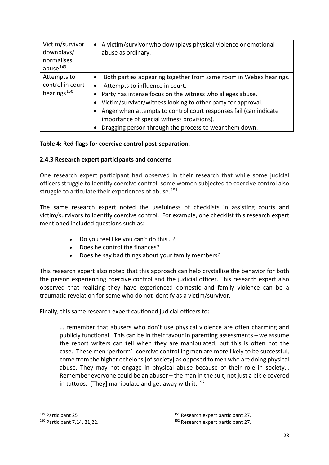| Victim/survivor<br>downplays/<br>normalises<br>abuse <sup>149</sup> | A victim/survivor who downplays physical violence or emotional<br>$\bullet$<br>abuse as ordinary.                                                                                                                                                                                                                                                                                                                                                     |
|---------------------------------------------------------------------|-------------------------------------------------------------------------------------------------------------------------------------------------------------------------------------------------------------------------------------------------------------------------------------------------------------------------------------------------------------------------------------------------------------------------------------------------------|
| Attempts to<br>control in court<br>hearings <sup>150</sup>          | Both parties appearing together from same room in Webex hearings.<br>$\bullet$<br>Attempts to influence in court.<br>$\bullet$<br>Party has intense focus on the witness who alleges abuse.<br>$\bullet$<br>Victim/survivor/witness looking to other party for approval.<br>Anger when attempts to control court responses fail (can indicate<br>importance of special witness provisions).<br>Dragging person through the process to wear them down. |

#### **Table 4: Red flags for coercive control post-separation.**

#### <span id="page-28-0"></span>**2.4.3 Research expert participants and concerns**

One research expert participant had observed in their research that while some judicial officers struggle to identify coercive control, some women subjected to coercive control also struggle to articulate their experiences of abuse.<sup>[151](#page-28-1)</sup>

The same research expert noted the usefulness of checklists in assisting courts and victim/survivors to identify coercive control. For example, one checklist this research expert mentioned included questions such as:

- Do you feel like you can't do this…?
- Does he control the finances?
- Does he say bad things about your family members?

This research expert also noted that this approach can help crystallise the behavior for both the person experiencing coercive control and the judicial officer. This research expert also observed that realizing they have experienced domestic and family violence can be a traumatic revelation for some who do not identify as a victim/survivor.

Finally, this same research expert cautioned judicial officers to:

… remember that abusers who don't use physical violence are often charming and publicly functional. This can be in their favour in parenting assessments – we assume the report writers can tell when they are manipulated, but this is often not the case. These men 'perform'- coercive controlling men are more likely to be successful, come from the higher echelons [of society] as opposed to men who are doing physical abuse. They may not engage in physical abuse because of their role in society… Remember everyone could be an abuser – the man in the suit, not just a bikie covered in tattoos. [They] manipulate and get away with it.  $152$ 

<span id="page-28-1"></span><sup>149</sup> Participant 25

<span id="page-28-2"></span><sup>150</sup> Participant 7,14, 21,22.

<sup>&</sup>lt;sup>151</sup> Research expert participant 27.

<sup>&</sup>lt;sup>152</sup> Research expert participant 27.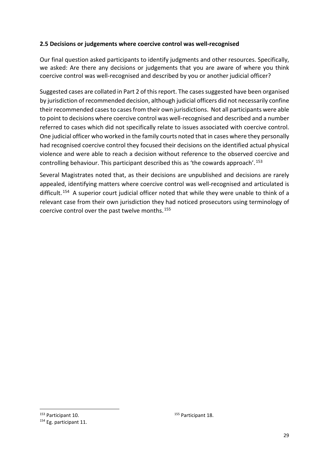#### <span id="page-29-0"></span>**2.5 Decisions or judgements where coercive control was well-recognised**

Our final question asked participants to identify judgments and other resources. Specifically, we asked: Are there any decisions or judgements that you are aware of where you think coercive control was well-recognised and described by you or another judicial officer?

Suggested cases are collated in Part 2 of this report. The cases suggested have been organised by jurisdiction of recommended decision, although judicial officers did not necessarily confine their recommended cases to cases from their own jurisdictions. Not all participants were able to point to decisions where coercive control was well-recognised and described and a number referred to cases which did not specifically relate to issues associated with coercive control. One judicial officer who worked in the family courts noted that in cases where they personally had recognised coercive control they focused their decisions on the identified actual physical violence and were able to reach a decision without reference to the observed coercive and controlling behaviour. This participant described this as 'the cowards approach'.[153](#page-29-1)

Several Magistrates noted that, as their decisions are unpublished and decisions are rarely appealed, identifying matters where coercive control was well-recognised and articulated is difficult.<sup>154</sup> A superior court judicial officer noted that while they were unable to think of a relevant case from their own jurisdiction they had noticed prosecutors using terminology of coercive control over the past twelve months.[155](#page-29-1)

<sup>155</sup> Participant 18.

<span id="page-29-1"></span><sup>153</sup> Participant 10.

<span id="page-29-2"></span><sup>&</sup>lt;sup>154</sup> Eg. participant 11.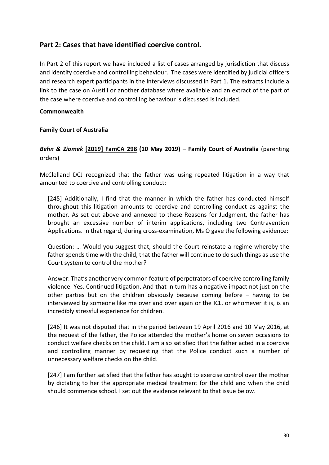## <span id="page-30-0"></span>**Part 2: Cases that have identified coercive control.**

In Part 2 of this report we have included a list of cases arranged by jurisdiction that discuss and identify coercive and controlling behaviour. The cases were identified by judicial officers and research expert participants in the interviews discussed in Part 1. The extracts include a link to the case on Austlii or another database where available and an extract of the part of the case where coercive and controlling behaviour is discussed is included.

#### <span id="page-30-1"></span>**Commonwealth**

#### <span id="page-30-2"></span>**Family Court of Australia**

## *Behn & Ziomek* **[\[2019\] FamCA 298](http://www8.austlii.edu.au/cgi-bin/viewdoc/au/cases/cth/FamCA/2019/298.html) (10 May 2019) – Family Court of Australia** (parenting orders)

McClelland DCJ recognized that the father was using repeated litigation in a way that amounted to coercive and controlling conduct:

[245] Additionally, I find that the manner in which the father has conducted himself throughout this litigation amounts to coercive and controlling conduct as against the mother. As set out above and annexed to these Reasons for Judgment, the father has brought an excessive number of interim applications, including two Contravention Applications. In that regard, during cross-examination, Ms O gave the following evidence:

Question: … Would you suggest that, should the Court reinstate a regime whereby the father spends time with the child, that the father will continue to do such things as use the Court system to control the mother?

Answer: That's another very common feature of perpetrators of coercive controlling family violence. Yes. Continued litigation. And that in turn has a negative impact not just on the other parties but on the children obviously because coming before – having to be interviewed by someone like me over and over again or the ICL, or whomever it is, is an incredibly stressful experience for children.

[246] It was not disputed that in the period between 19 April 2016 and 10 May 2016, at the request of the father, the Police attended the mother's home on seven occasions to conduct welfare checks on the child. I am also satisfied that the father acted in a coercive and controlling manner by requesting that the Police conduct such a number of unnecessary welfare checks on the child.

[247] I am further satisfied that the father has sought to exercise control over the mother by dictating to her the appropriate medical treatment for the child and when the child should commence school. I set out the evidence relevant to that issue below.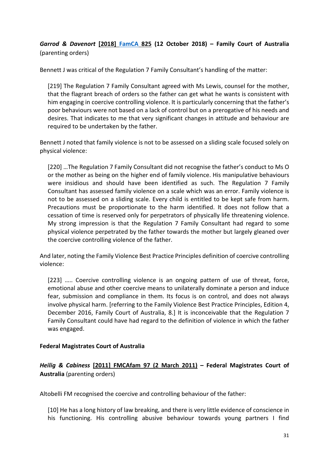*Garrod & Davenort* **[2018] [FamCA](http://www7.austlii.edu.au/cgi-bin/viewdoc/au/cases/cth/FamCA/2018/825.html) 825 (12 October 2018) – Family Court of Australia**  (parenting orders)

Bennett J was critical of the Regulation 7 Family Consultant's handling of the matter:

[219] The Regulation 7 Family Consultant agreed with Ms Lewis, counsel for the mother, that the flagrant breach of orders so the father can get what he wants is consistent with him engaging in coercive controlling violence. It is particularly concerning that the father's poor behaviours were not based on a lack of control but on a prerogative of his needs and desires. That indicates to me that very significant changes in attitude and behaviour are required to be undertaken by the father.

Bennett J noted that family violence is not to be assessed on a sliding scale focused solely on physical violence:

[220] …The Regulation 7 Family Consultant did not recognise the father's conduct to Ms O or the mother as being on the higher end of family violence. His manipulative behaviours were insidious and should have been identified as such. The Regulation 7 Family Consultant has assessed family violence on a scale which was an error. Family violence is not to be assessed on a sliding scale. Every child is entitled to be kept safe from harm. Precautions must be proportionate to the harm identified. It does not follow that a cessation of time is reserved only for perpetrators of physically life threatening violence. My strong impression is that the Regulation 7 Family Consultant had regard to some physical violence perpetrated by the father towards the mother but largely gleaned over the coercive controlling violence of the father.

And later, noting the Family Violence Best Practice Principles definition of coercive controlling violence:

[223] ..... Coercive controlling violence is an ongoing pattern of use of threat, force, emotional abuse and other coercive means to unilaterally dominate a person and induce fear, submission and compliance in them. Its focus is on control, and does not always involve physical harm. [referring to the Family Violence Best Practice Principles, Edition 4, December 2016, Family Court of Australia, 8.] It is inconceivable that the Regulation 7 Family Consultant could have had regard to the definition of violence in which the father was engaged.

#### <span id="page-31-0"></span>**Federal Magistrates Court of Australia**

## *Heilig & Cabiness* **[\[2011\] FMCAfam 97 \(2 March 2011\)](http://www.austlii.edu.au/au/cases/cth/FMCAfam/2011/97.html) – Federal Magistrates Court of Australia** (parenting orders)

Altobelli FM recognised the coercive and controlling behaviour of the father:

[10] He has a long history of law breaking, and there is very little evidence of conscience in his functioning. His controlling abusive behaviour towards young partners I find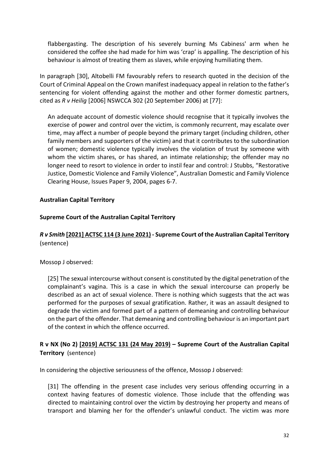flabbergasting. The description of his severely burning Ms Cabiness' arm when he considered the coffee she had made for him was 'crap' is appalling. The description of his behaviour is almost of treating them as slaves, while enjoying humiliating them.

In paragraph [30], Altobelli FM favourably refers to research quoted in the decision of the Court of Criminal Appeal on the Crown manifest inadequacy appeal in relation to the father's sentencing for violent offending against the mother and other former domestic partners, cited as *R v Heilig* [2006] NSWCCA 302 (20 September 2006) at [77]:

An adequate account of domestic violence should recognise that it typically involves the exercise of power and control over the victim, is commonly recurrent, may escalate over time, may affect a number of people beyond the primary target (including children, other family members and supporters of the victim) and that it contributes to the subordination of women; domestic violence typically involves the violation of trust by someone with whom the victim shares, or has shared, an intimate relationship; the offender may no longer need to resort to violence in order to instil fear and control: J Stubbs, "Restorative Justice, Domestic Violence and Family Violence", Australian Domestic and Family Violence Clearing House, Issues Paper 9, 2004, pages 6-7.

#### <span id="page-32-0"></span>**Australian Capital Territory**

#### <span id="page-32-1"></span>**Supreme Court of the Australian Capital Territory**

## *R v Smith* **[\[2021\] ACTSC 114 \(3 June 2021\)](http://www.austlii.edu.au/cgi-bin/viewdoc/au/cases/act/ACTSC/2021/114.html) - Supreme Court of the Australian Capital Territory**  (sentence)

Mossop J observed:

[25] The sexual intercourse without consent is constituted by the digital penetration of the complainant's vagina. This is a case in which the sexual intercourse can properly be described as an act of sexual violence. There is nothing which suggests that the act was performed for the purposes of sexual gratification. Rather, it was an assault designed to degrade the victim and formed part of a pattern of demeaning and controlling behaviour on the part of the offender. That demeaning and controlling behaviour is an important part of the context in which the offence occurred.

## **R v NX (No 2) [\[2019\] ACTSC 131 \(24 May 2019\)](http://www.austlii.edu.au/au/cases/act/ACTSC/2019/131.html) – Supreme Court of the Australian Capital Territory** (sentence)

In considering the objective seriousness of the offence, Mossop J observed:

[31] The offending in the present case includes very serious offending occurring in a context having features of domestic violence. Those include that the offending was directed to maintaining control over the victim by destroying her property and means of transport and blaming her for the offender's unlawful conduct. The victim was more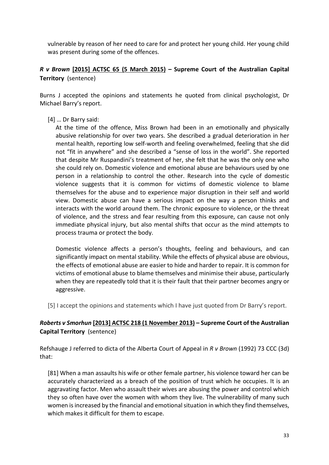vulnerable by reason of her need to care for and protect her young child. Her young child was present during some of the offences.

## *R v Brown* **[\[2015\] ACTSC 65 \(5 March 2015\)](http://www.austlii.edu.au/cgi-bin/viewdoc/au/cases/act/ACTSC/2015/65.html) – Supreme Court of the Australian Capital Territory** (sentence)

Burns J accepted the opinions and statements he quoted from clinical psychologist, Dr Michael Barry's report.

[4] … Dr Barry said:

At the time of the offence, Miss Brown had been in an emotionally and physically abusive relationship for over two years. She described a gradual deterioration in her mental health, reporting low self-worth and feeling overwhelmed, feeling that she did not "fit in anywhere" and she described a "sense of loss in the world". She reported that despite Mr Ruspandini's treatment of her, she felt that he was the only one who she could rely on. Domestic violence and emotional abuse are behaviours used by one person in a relationship to control the other. Research into the cycle of domestic violence suggests that it is common for victims of domestic violence to blame themselves for the abuse and to experience major disruption in their self and world view. Domestic abuse can have a serious impact on the way a person thinks and interacts with the world around them. The chronic exposure to violence, or the threat of violence, and the stress and fear resulting from this exposure, can cause not only immediate physical injury, but also mental shifts that occur as the mind attempts to process trauma or protect the body.

Domestic violence affects a person's thoughts, feeling and behaviours, and can significantly impact on mental stability. While the effects of physical abuse are obvious, the effects of emotional abuse are easier to hide and harder to repair. It is common for victims of emotional abuse to blame themselves and minimise their abuse, particularly when they are repeatedly told that it is their fault that their partner becomes angry or aggressive.

[5] I accept the opinions and statements which I have just quoted from Dr Barry's report.

## *Roberts v Smorhun* **[\[2013\] ACTSC 218 \(1 November 2013\)](http://www.austlii.edu.au/au/cases/act/ACTSC/2013/218.html) – Supreme Court of the Australian Capital Territory** (sentence)

Refshauge J referred to dicta of the Alberta Court of Appeal in *R v Brown* (1992) 73 CCC (3d) that:

[81] When a man assaults his wife or other female partner, his violence toward her can be accurately characterized as a breach of the position of trust which he occupies. It is an aggravating factor. Men who assault their wives are abusing the power and control which they so often have over the women with whom they live. The vulnerability of many such women is increased by the financial and emotional situation in which they find themselves, which makes it difficult for them to escape.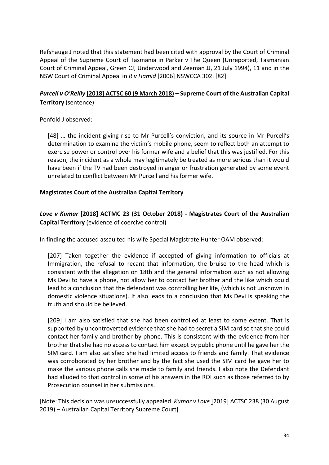Refshauge J noted that this statement had been cited with approval by the Court of Criminal Appeal of the Supreme Court of Tasmania in Parker v The Queen (Unreported, Tasmanian Court of Criminal Appeal, Green CJ, Underwood and Zeeman JJ, 21 July 1994), 11 and in the NSW Court of Criminal Appeal in *R v Hamid* [2006] NSWCCA 302. [82]

## *Purcell v O'Reilly* **[\[2018\] ACTSC 60 \(9 March 2018\)](http://www.austlii.edu.au/au/cases/act/ACTSC/2018/60.html) – Supreme Court of the Australian Capital Territory** (sentence)

Penfold J observed:

[48] … the incident giving rise to Mr Purcell's conviction, and its source in Mr Purcell's determination to examine the victim's mobile phone, seem to reflect both an attempt to exercise power or control over his former wife and a belief that this was justified. For this reason, the incident as a whole may legitimately be treated as more serious than it would have been if the TV had been destroyed in anger or frustration generated by some event unrelated to conflict between Mr Purcell and his former wife.

#### **Magistrates Court of the Australian Capital Territory**

## *Love v Kumar* **[\[2018\] ACTMC 23 \(31 October 2018\)](http://www.austlii.edu.au/au/cases/act/ACTMC/2018/23.html) - Magistrates Court of the Australian Capital Territory** (evidence of coercive control)

In finding the accused assaulted his wife Special Magistrate Hunter OAM observed:

[207] Taken together the evidence if accepted of giving information to officials at Immigration, the refusal to recant that information, the bruise to the head which is consistent with the allegation on 18th and the general information such as not allowing Ms Devi to have a phone, not allow her to contact her brother and the like which could lead to a conclusion that the defendant was controlling her life, (which is not unknown in domestic violence situations). It also leads to a conclusion that Ms Devi is speaking the truth and should be believed.

[209] I am also satisfied that she had been controlled at least to some extent. That is supported by uncontroverted evidence that she had to secret a SIM card so that she could contact her family and brother by phone. This is consistent with the evidence from her brother that she had no access to contact him except by public phone until he gave her the SIM card. I am also satisfied she had limited access to friends and family. That evidence was corroborated by her brother and by the fact she used the SIM card he gave her to make the various phone calls she made to family and friends. I also note the Defendant had alluded to that control in some of his answers in the ROI such as those referred to by Prosecution counsel in her submissions.

[Note: This decision was unsuccessfully appealed *Kumar v Love* [2019] ACTSC 238 (30 August 2019) – Australian Capital Territory Supreme Court]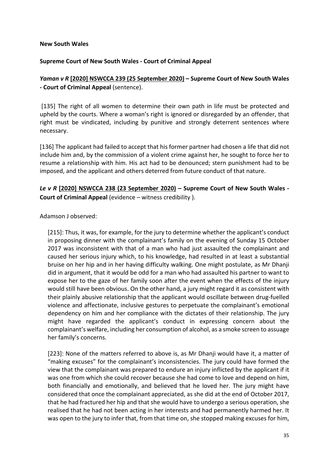#### <span id="page-35-0"></span>**New South Wales**

#### <span id="page-35-1"></span>**Supreme Court of New South Wales - Court of Criminal Appeal**

## *Yaman v R* **[\[2020\] NSWCCA 239 \(25 September 2020\)](http://www.austlii.edu.au/au/cases/nsw/NSWCCA/2020/239.html) – Supreme Court of New South Wales - Court of Criminal Appeal** (sentence).

[135] The right of all women to determine their own path in life must be protected and upheld by the courts. Where a woman's right is ignored or disregarded by an offender, that right must be vindicated, including by punitive and strongly deterrent sentences where necessary.

[136] The applicant had failed to accept that his former partner had chosen a life that did not include him and, by the commission of a violent crime against her, he sought to force her to resume a relationship with him. His act had to be denounced; stern punishment had to be imposed, and the applicant and others deterred from future conduct of that nature.

## *Le v R* **[\[2020\] NSWCCA 238 \(23 September 2020\)](https://www.austlii.edu.au/cgi-bin/viewdoc/au/cases/nsw/NSWCCA/2020/238.html) – Supreme Court of New South Wales - Court of Criminal Appeal** (evidence – witness credibility ).

Adamson J observed:

[215]: Thus, it was, for example, for the jury to determine whether the applicant's conduct in proposing dinner with the complainant's family on the evening of Sunday 15 October 2017 was inconsistent with that of a man who had just assaulted the complainant and caused her serious injury which, to his knowledge, had resulted in at least a substantial bruise on her hip and in her having difficulty walking. One might postulate, as Mr Dhanji did in argument, that it would be odd for a man who had assaulted his partner to want to expose her to the gaze of her family soon after the event when the effects of the injury would still have been obvious. On the other hand, a jury might regard it as consistent with their plainly abusive relationship that the applicant would oscillate between drug-fuelled violence and affectionate, inclusive gestures to perpetuate the complainant's emotional dependency on him and her compliance with the dictates of their relationship. The jury might have regarded the applicant's conduct in expressing concern about the complainant's welfare, including her consumption of alcohol, as a smoke screen to assuage her family's concerns.

[223]: None of the matters referred to above is, as Mr Dhanji would have it, a matter of "making excuses" for the complainant's inconsistencies. The jury could have formed the view that the complainant was prepared to endure an injury inflicted by the applicant if it was one from which she could recover because she had come to love and depend on him, both financially and emotionally, and believed that he loved her. The jury might have considered that once the complainant appreciated, as she did at the end of October 2017, that he had fractured her hip and that she would have to undergo a serious operation, she realised that he had not been acting in her interests and had permanently harmed her. It was open to the jury to infer that, from that time on, she stopped making excuses for him,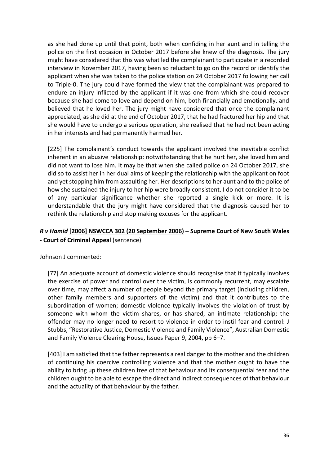as she had done up until that point, both when confiding in her aunt and in telling the police on the first occasion in October 2017 before she knew of the diagnosis. The jury might have considered that this was what led the complainant to participate in a recorded interview in November 2017, having been so reluctant to go on the record or identify the applicant when she was taken to the police station on 24 October 2017 following her call to Triple-0. The jury could have formed the view that the complainant was prepared to endure an injury inflicted by the applicant if it was one from which she could recover because she had come to love and depend on him, both financially and emotionally, and believed that he loved her. The jury might have considered that once the complainant appreciated, as she did at the end of October 2017, that he had fractured her hip and that she would have to undergo a serious operation, she realised that he had not been acting in her interests and had permanently harmed her.

[225] The complainant's conduct towards the applicant involved the inevitable conflict inherent in an abusive relationship: notwithstanding that he hurt her, she loved him and did not want to lose him. It may be that when she called police on 24 October 2017, she did so to assist her in her dual aims of keeping the relationship with the applicant on foot and yet stopping him from assaulting her. Her descriptions to her aunt and to the police of how she sustained the injury to her hip were broadly consistent. I do not consider it to be of any particular significance whether she reported a single kick or more. It is understandable that the jury might have considered that the diagnosis caused her to rethink the relationship and stop making excuses for the applicant.

## *R v Hamid* **[\[2006\] NSWCCA 302 \(20 September 2006\)](http://www.austlii.edu.au/cgi-bin/viewdoc/au/cases/nsw/NSWCCA/2006/302.html?context=1;query=hamid;mask_path=au/cases/nsw/NSWCCA) – Supreme Court of New South Wales - Court of Criminal Appeal** (sentence)

Johnson J commented:

[77] An adequate account of domestic violence should recognise that it typically involves the exercise of power and control over the victim, is commonly recurrent, may escalate over time, may affect a number of people beyond the primary target (including children, other family members and supporters of the victim) and that it contributes to the subordination of women; domestic violence typically involves the violation of trust by someone with whom the victim shares, or has shared, an intimate relationship; the offender may no longer need to resort to violence in order to instil fear and control: J Stubbs, "Restorative Justice, Domestic Violence and Family Violence", Australian Domestic and Family Violence Clearing House, Issues Paper 9, 2004, pp 6–7.

[403] I am satisfied that the father represents a real danger to the mother and the children of continuing his coercive controlling violence and that the mother ought to have the ability to bring up these children free of that behaviour and its consequential fear and the children ought to be able to escape the direct and indirect consequences of that behaviour and the actuality of that behaviour by the father.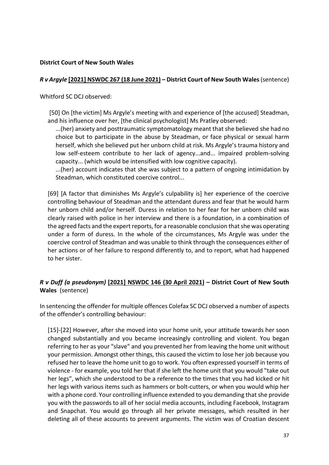#### <span id="page-37-0"></span>**District Court of New South Wales**

#### *R v Argyle* **[\[2021\] NSWDC 267 \(18 June 2021\)](https://austlii.edu.au/cgi-bin/viewdoc/au/cases/nsw/NSWDC/2021/267.html) – District Court of New South Wales** (sentence)

Whitford SC DCJ observed:

[50] On [the victim] Ms Argyle's meeting with and experience of [the accused] Steadman, and his influence over her, [the clinical psychologist] Ms Pratley observed:

...(her) anxiety and posttraumatic symptomatology meant that she believed she had no choice but to participate in the abuse by Steadman, or face physical or sexual harm herself, which she believed put her unborn child at risk. Ms Argyle's trauma history and low self-esteem contribute to her lack of agency...and... impaired problem-solving capacity... (which would be intensified with low cognitive capacity).

...(her) account indicates that she was subject to a pattern of ongoing intimidation by Steadman, which constituted coercive control...

[69] [A factor that diminishes Ms Argyle's culpability is] her experience of the coercive controlling behaviour of Steadman and the attendant duress and fear that he would harm her unborn child and/or herself. Duress in relation to her fear for her unborn child was clearly raised with police in her interview and there is a foundation, in a combination of the agreed facts and the expert reports, for a reasonable conclusion that she was operating under a form of duress. In the whole of the circumstances, Ms Argyle was under the coercive control of Steadman and was unable to think through the consequences either of her actions or of her failure to respond differently to, and to report, what had happened to her sister.

## *R v Duff (a pseudonym)* **[\[2021\] NSWDC 146 \(30 April 2021\)](http://www.austlii.edu.au/au/cases/nsw/NSWDC/2021/146.html) – District Court of New South Wales** (sentence)

In sentencing the offender for multiple offences Colefax SC DCJ observed a number of aspects of the offender's controlling behaviour:

[15]-[22] However, after she moved into your home unit, your attitude towards her soon changed substantially and you became increasingly controlling and violent. You began referring to her as your "slave" and you prevented her from leaving the home unit without your permission. Amongst other things, this caused the victim to lose her job because you refused her to leave the home unit to go to work. You often expressed yourself in terms of violence - for example, you told her that if she left the home unit that you would "take out her legs", which she understood to be a reference to the times that you had kicked or hit her legs with various items such as hammers or bolt-cutters, or when you would whip her with a phone cord. Your controlling influence extended to you demanding that she provide you with the passwords to all of her social media accounts, including Facebook, Instagram and Snapchat. You would go through all her private messages, which resulted in her deleting all of these accounts to prevent arguments. The victim was of Croatian descent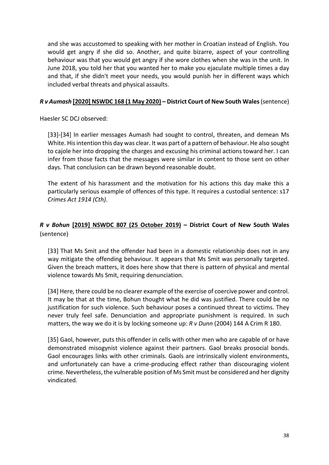and she was accustomed to speaking with her mother in Croatian instead of English. You would get angry if she did so. Another, and quite bizarre, aspect of your controlling behaviour was that you would get angry if she wore clothes when she was in the unit. In June 2018, you told her that you wanted her to make you ejaculate multiple times a day and that, if she didn't meet your needs, you would punish her in different ways which included verbal threats and physical assaults.

#### *R v Aumash* **[\[2020\] NSWDC 168 \(1 May 2020\) –](http://www.austlii.edu.au/au/cases/nsw/NSWDC/2020/168.html) District Court of New South Wales** (sentence)

Haesler SC DCJ observed:

[33]-[34] In earlier messages Aumash had sought to control, threaten, and demean Ms White. His intention this day was clear. It was part of a pattern of behaviour. He also sought to cajole her into dropping the charges and excusing his criminal actions toward her. I can infer from those facts that the messages were similar in content to those sent on other days. That conclusion can be drawn beyond reasonable doubt.

The extent of his harassment and the motivation for his actions this day make this a particularly serious example of offences of this type. It requires a custodial sentence: s17 *Crimes Act 1914 (Cth)*.

## *R v Bohun* **[\[2019\] NSWDC 807 \(25 October 2019\)](http://www.austlii.edu.au/cgi-bin/viewdoc/au/cases/nsw/NSWDC/2019/807.html) – District Court of New South Wales**  (sentence)

[33] That Ms Smit and the offender had been in a domestic relationship does not in any way mitigate the offending behaviour. It appears that Ms Smit was personally targeted. Given the breach matters, it does here show that there is pattern of physical and mental violence towards Ms Smit, requiring denunciation.

[34] Here, there could be no clearer example of the exercise of coercive power and control. It may be that at the time, Bohun thought what he did was justified. There could be no justification for such violence. Such behaviour poses a continued threat to victims. They never truly feel safe. Denunciation and appropriate punishment is required. In such matters, the way we do it is by locking someone up: *R v Dunn* (2004) 144 A Crim R 180.

[35] Gaol, however, puts this offender in cells with other men who are capable of or have demonstrated misogynist violence against their partners. Gaol breaks prosocial bonds. Gaol encourages links with other criminals. Gaols are intrinsically violent environments, and unfortunately can have a crime-producing effect rather than discouraging violent crime. Nevertheless, the vulnerable position of Ms Smit must be considered and her dignity vindicated.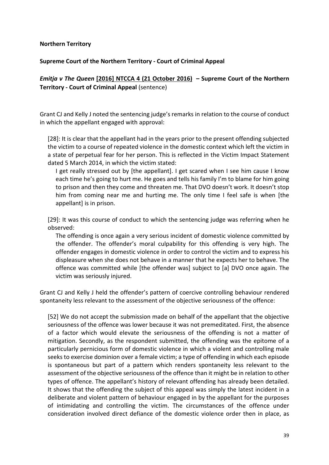#### <span id="page-39-0"></span>**Northern Territory**

#### <span id="page-39-1"></span>**Supreme Court of the Northern Territory - Court of Criminal Appeal**

## *Emitja v The Queen* **[\[2016\] NTCCA 4 \(21 October 2016\)](http://www.austlii.edu.au/cgi-bin/viewdoc/au/cases/nt/NTCCA/2016/4.html) – Supreme Court of the Northern Territory - Court of Criminal Appeal** (sentence)

Grant CJ and Kelly J noted the sentencing judge's remarks in relation to the course of conduct in which the appellant engaged with approval:

[28]: It is clear that the appellant had in the years prior to the present offending subjected the victim to a course of repeated violence in the domestic context which left the victim in a state of perpetual fear for her person. This is reflected in the Victim Impact Statement dated 5 March 2014, in which the victim stated:

I get really stressed out by [the appellant]. I get scared when I see him cause I know each time he's going to hurt me. He goes and tells his family I'm to blame for him going to prison and then they come and threaten me. That DVO doesn't work. It doesn't stop him from coming near me and hurting me. The only time I feel safe is when [the appellant] is in prison.

[29]: It was this course of conduct to which the sentencing judge was referring when he observed:

The offending is once again a very serious incident of domestic violence committed by the offender. The offender's moral culpability for this offending is very high. The offender engages in domestic violence in order to control the victim and to express his displeasure when she does not behave in a manner that he expects her to behave. The offence was committed while [the offender was] subject to [a] DVO once again. The victim was seriously injured.

Grant CJ and Kelly J held the offender's pattern of coercive controlling behaviour rendered spontaneity less relevant to the assessment of the objective seriousness of the offence:

[52] We do not accept the submission made on behalf of the appellant that the objective seriousness of the offence was lower because it was not premeditated. First, the absence of a factor which would elevate the seriousness of the offending is not a matter of mitigation. Secondly, as the respondent submitted, the offending was the epitome of a particularly pernicious form of domestic violence in which a violent and controlling male seeks to exercise dominion over a female victim; a type of offending in which each episode is spontaneous but part of a pattern which renders spontaneity less relevant to the assessment of the objective seriousness of the offence than it might be in relation to other types of offence. The appellant's history of relevant offending has already been detailed. It shows that the offending the subject of this appeal was simply the latest incident in a deliberate and violent pattern of behaviour engaged in by the appellant for the purposes of intimidating and controlling the victim. The circumstances of the offence under consideration involved direct defiance of the domestic violence order then in place, as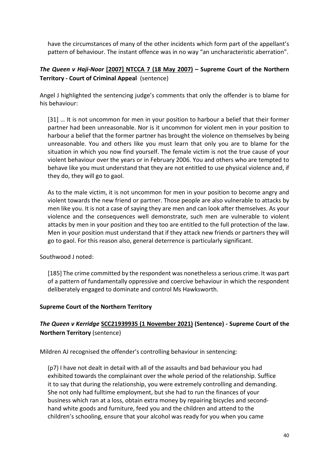have the circumstances of many of the other incidents which form part of the appellant's pattern of behaviour. The instant offence was in no way "an uncharacteristic aberration".

## *The Queen v Haji-Noor* **[\[2007\] NTCCA 7 \(18 May 2007\)](http://www.austlii.edu.au/cgi-bin/viewdoc/au/cases/nt/NTCCA/2007/7.html) – Supreme Court of the Northern Territory - Court of Criminal Appeal** (sentence)

Angel J highlighted the sentencing judge's comments that only the offender is to blame for his behaviour:

[31] … It is not uncommon for men in your position to harbour a belief that their former partner had been unreasonable. Nor is it uncommon for violent men in your position to harbour a belief that the former partner has brought the violence on themselves by being unreasonable. You and others like you must learn that only you are to blame for the situation in which you now find yourself. The female victim is not the true cause of your violent behaviour over the years or in February 2006. You and others who are tempted to behave like you must understand that they are not entitled to use physical violence and, if they do, they will go to gaol.

As to the male victim, it is not uncommon for men in your position to become angry and violent towards the new friend or partner. Those people are also vulnerable to attacks by men like you. It is not a case of saying they are men and can look after themselves. As your violence and the consequences well demonstrate, such men are vulnerable to violent attacks by men in your position and they too are entitled to the full protection of the law. Men in your position must understand that if they attack new friends or partners they will go to gaol. For this reason also, general deterrence is particularly significant.

Southwood J noted:

[185] The crime committed by the respondent was nonetheless a serious crime. It was part of a pattern of fundamentally oppressive and coercive behaviour in which the respondent deliberately engaged to dominate and control Ms Hawksworth.

#### <span id="page-40-0"></span>**Supreme Court of the Northern Territory**

## *The Queen v Kerridge* **[SCC21939935 \(1 November 2021\)](https://supremecourt.nt.gov.au/__data/assets/pdf_file/0003/1065360/Kerridge_21939935_sen_net.pdf) (Sentence) - Supreme Court of the Northern Territory** (sentence)

Mildren AJ recognised the offender's controlling behaviour in sentencing:

(p7) I have not dealt in detail with all of the assaults and bad behaviour you had exhibited towards the complainant over the whole period of the relationship. Suffice it to say that during the relationship, you were extremely controlling and demanding. She not only had fulltime employment, but she had to run the finances of your business which ran at a loss, obtain extra money by repairing bicycles and secondhand white goods and furniture, feed you and the children and attend to the children's schooling, ensure that your alcohol was ready for you when you came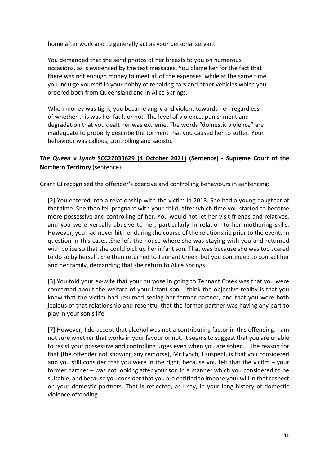home after work and to generally act as your personal servant.

You demanded that she send photos of her breasts to you on numerous occasions, as is evidenced by the text messages. You blame her for the fact that there was not enough money to meet all of the expenses, while at the same time, you indulge yourself in your hobby of repairing cars and other vehicles which you ordered both from Queensland and in Alice Springs.

When money was tight, you became angry and violent towards her, regardless of whether this was her fault or not. The level of violence, punishment and degradation that you dealt her was extreme. The words "domestic violence" are inadequate to properly describe the torment that you caused her to suffer. Your behaviour was callous, controlling and sadistic

## *The Queen v Lynch* **[SCC22033629 \(4 October 2021\)](https://supremecourt.nt.gov.au/__data/assets/pdf_file/0009/1057473/Lynch_04102021_22033629_sen_net.pdf) (Sentence) - Supreme Court of the Northern Territory** (sentence)

Grant CJ recognised the offender's coercive and controlling behaviours in sentencing:

[2] You entered into a relationship with the victim in 2018. She had a young daughter at that time. She then fell pregnant with your child, after which time you started to become more possessive and controlling of her. You would not let her visit friends and relatives, and you were verbally abusive to her, particularly in relation to her mothering skills. However, you had never hit her during the course of the relationship prior to the events in question in this case….She left the house where she was staying with you and returned with police so that she could pick up her infant son. That was because she was too scared to do so by herself. She then returned to Tennant Creek, but you continued to contact her and her family, demanding that she return to Alice Springs.

[3] You told your ex-wife that your purpose in going to Tennant Creek was that you were concerned about the welfare of your infant son. I think the objective reality is that you knew that the victim had resumed seeing her former partner, and that you were both jealous of that relationship and resentful that the former partner was having any part to play in your son's life.

[7] However, I do accept that alcohol was not a contributing factor in this offending. I am not sure whether that works in your favour or not. It seems to suggest that you are unable to resist your possessive and controlling urges even when you are sober…..The reason for that [the offender not showing any remorse], Mr Lynch, I suspect, is that you considered and you still consider that you were in the right, because you felt that the victim – your former partner – was not looking after your son in a manner which you considered to be suitable; and because you consider that you are entitled to impose your will in that respect on your domestic partners. That is reflected, as I say, in your long history of domestic violence offending.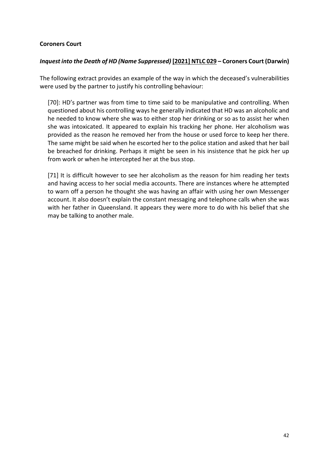#### <span id="page-42-0"></span>**Coroners Court**

#### *Inquest into the Death of HD (Name Suppressed)* **[\[2021\] NTLC 029](http://www.austlii.edu.au/cgi-bin/viewdoc/au/cases/nt/NTLC/2021/29.html?context=1;query=Inquest%20into%20the%20Death%20of%20HD%20(Name%20Suppressed)%20;mask_path=) – Coroners Court (Darwin)**

The following extract provides an example of the way in which the deceased's vulnerabilities were used by the partner to justify his controlling behaviour:

[70]: HD's partner was from time to time said to be manipulative and controlling. When questioned about his controlling ways he generally indicated that HD was an alcoholic and he needed to know where she was to either stop her drinking or so as to assist her when she was intoxicated. It appeared to explain his tracking her phone. Her alcoholism was provided as the reason he removed her from the house or used force to keep her there. The same might be said when he escorted her to the police station and asked that her bail be breached for drinking. Perhaps it might be seen in his insistence that he pick her up from work or when he intercepted her at the bus stop.

[71] It is difficult however to see her alcoholism as the reason for him reading her texts and having access to her social media accounts. There are instances where he attempted to warn off a person he thought she was having an affair with using her own Messenger account. It also doesn't explain the constant messaging and telephone calls when she was with her father in Queensland. It appears they were more to do with his belief that she may be talking to another male.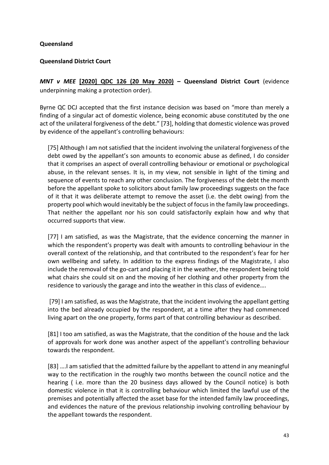#### <span id="page-43-0"></span>**Queensland**

#### <span id="page-43-1"></span>**Queensland District Court**

*MNT v MEE* **[\[2020\] QDC 126 \(20 May 2020\)](http://www.austlii.edu.au/au/cases/qld/QDC/2020/126.html) – Queensland District Court** (evidence underpinning making a protection order).

Byrne QC DCJ accepted that the first instance decision was based on "more than merely a finding of a singular act of domestic violence, being economic abuse constituted by the one act of the unilateral forgiveness of the debt." [73], holding that domestic violence was proved by evidence of the appellant's controlling behaviours:

[75] Although I am not satisfied that the incident involving the unilateral forgiveness of the debt owed by the appellant's son amounts to economic abuse as defined, I do consider that it comprises an aspect of overall controlling behaviour or emotional or psychological abuse, in the relevant senses. It is, in my view, not sensible in light of the timing and sequence of events to reach any other conclusion. The forgiveness of the debt the month before the appellant spoke to solicitors about family law proceedings suggests on the face of it that it was deliberate attempt to remove the asset (i.e. the debt owing) from the property pool which would inevitably be the subject of focus in the family law proceedings. That neither the appellant nor his son could satisfactorily explain how and why that occurred supports that view.

[77] I am satisfied, as was the Magistrate, that the evidence concerning the manner in which the respondent's property was dealt with amounts to controlling behaviour in the overall context of the relationship, and that contributed to the respondent's fear for her own wellbeing and safety. In addition to the express findings of the Magistrate, I also include the removal of the go-cart and placing it in the weather, the respondent being told what chairs she could sit on and the moving of her clothing and other property from the residence to variously the garage and into the weather in this class of evidence….

[79] I am satisfied, as was the Magistrate, that the incident involving the appellant getting into the bed already occupied by the respondent, at a time after they had commenced living apart on the one property, forms part of that controlling behaviour as described.

[81] I too am satisfied, as was the Magistrate, that the condition of the house and the lack of approvals for work done was another aspect of the appellant's controlling behaviour towards the respondent.

[83] ….I am satisfied that the admitted failure by the appellant to attend in any meaningful way to the rectification in the roughly two months between the council notice and the hearing ( i.e. more than the 20 business days allowed by the Council notice) is both domestic violence in that it is controlling behaviour which limited the lawful use of the premises and potentially affected the asset base for the intended family law proceedings, and evidences the nature of the previous relationship involving controlling behaviour by the appellant towards the respondent.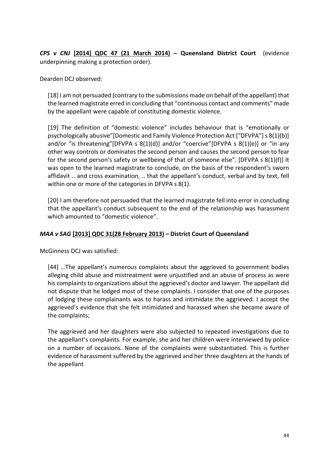*CPS v CNJ* **[\[2014\] QDC 47 \(21 March 2014\)](http://www.austlii.edu.au/cgi-bin/viewdoc/au/cases/qld/QDC/2014/47.html) – Queensland District Court** (evidence underpinning making a protection order).

Dearden DCJ observed:

[18] I am not persuaded (contrary to the submissions made on behalf of the appellant) that the learned magistrate erred in concluding that "continuous contact and comments" made by the appellant were capable of constituting domestic violence.

[19] The definition of "domestic violence" includes behaviour that is "emotionally or psychologically abusive["\[Domestic and Family Violence Protection Act \["DFVPA"\] s 8\(1\)\(b\)\]](http://www.austlii.edu.au/cgi-bin/viewdoc/au/cases/qld/QDC/2014/47.html?context=1;query=cps%20v%20cnj;mask_path=#fn8) and/or "is threatening["\[DFVPA s 8\(1\)\(d\)\]](http://www.austlii.edu.au/cgi-bin/viewdoc/au/cases/qld/QDC/2014/47.html?context=1;query=cps%20v%20cnj;mask_path=#fn9) and/or "coercive["\[DFVPA s 8\(1\)\(e\)\]](http://www.austlii.edu.au/cgi-bin/viewdoc/au/cases/qld/QDC/2014/47.html?context=1;query=cps%20v%20cnj;mask_path=#fn10) or "in any other way controls or dominates the second person and causes the second person to fear for the second person's safety or wellbeing of that of someone else". [\[DFVPA s 8\(1\)\(f\)\]](http://www.austlii.edu.au/cgi-bin/viewdoc/au/cases/qld/QDC/2014/47.html?context=1;query=cps%20v%20cnj;mask_path=#fn11) It was open to the learned magistrate to conclude, on the basis of the respondent's sworn affidavit .. and cross examination, .. that the appellant's conduct, verbal and by text, fell within one or more of the categories in DFVPA s 8(1).

[20] I am therefore not persuaded that the learned magistrate fell into error in concluding that the appellant's conduct subsequent to the end of the relationship was harassment which amounted to "domestic violence".

## *MAA v SAG* **[\[2013\] QDC 31\(28 February 2013\)](http://www6.austlii.edu.au/cgi-bin/viewdoc/au/cases/qld/QDC/2013/31.html?context=1;query=MAA;mask_path=au/cases/qld/QDC) – District Court of Queensland**

McGinness DCJ was satisfied:

[44] …The appellant's numerous complaints about the aggrieved to government bodies alleging child abuse and mistreatment were unjustified and an abuse of process as were his complaints to organizations about the aggrieved's doctor and lawyer. The appellant did not dispute that he lodged most of these complaints. I consider that one of the purposes of lodging these complainants was to harass and intimidate the aggrieved. I accept the aggrieved's evidence that she felt intimidated and harassed when she became aware of the complaints;

The aggrieved and her daughters were also subjected to repeated investigations due to the appellant's complaints. For example, she and her children were interviewed by police on a number of occasions. None of the complaints were substantiated. This is further evidence of harassment suffered by the aggrieved and her three daughters at the hands of the appellant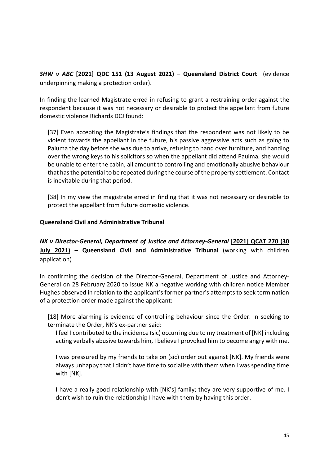*SHW v ABC* **[\[2021\] QDC 151 \(13 August 2021\)](http://www.austlii.edu.au/au/cases/qld/QDC/2021/151.html) – Queensland District Court** (evidence underpinning making a protection order).

In finding the learned Magistrate erred in refusing to grant a restraining order against the respondent because it was not necessary or desirable to protect the appellant from future domestic violence Richards DCJ found:

[37] Even accepting the Magistrate's findings that the respondent was not likely to be violent towards the appellant in the future, his passive aggressive acts such as going to Paluma the day before she was due to arrive, refusing to hand over furniture, and handing over the wrong keys to his solicitors so when the appellant did attend Paulma, she would be unable to enter the cabin, all amount to controlling and emotionally abusive behaviour that has the potential to be repeated during the course of the property settlement. Contact is inevitable during that period.

[38] In my view the magistrate erred in finding that it was not necessary or desirable to protect the appellant from future domestic violence.

#### <span id="page-45-0"></span>**Queensland Civil and Administrative Tribunal**

*NK v Director-General, Department of Justice and Attorney-General* **[\[2021\] QCAT 270 \(30](http://www.austlii.edu.au/au/cases/qld/QCAT/2021/270.html)  [July 2021\)](http://www.austlii.edu.au/au/cases/qld/QCAT/2021/270.html) – Queensland Civil and Administrative Tribunal** (working with children application)

In confirming the decision of the Director-General, Department of Justice and Attorney-General on 28 February 2020 to issue NK a negative working with children notice Member Hughes observed in relation to the applicant's former partner's attempts to seek termination of a protection order made against the applicant:

[18] More alarming is evidence of controlling behaviour since the Order. In seeking to terminate the Order, NK's ex-partner said:

I feel I contributed to the incidence (sic) occurring due to my treatment of [NK] including acting verbally abusive towards him, I believe I provoked him to become angry with me.

I was pressured by my friends to take on (sic) order out against [NK]. My friends were always unhappy that I didn't have time to socialise with them when I was spending time with [NK].

I have a really good relationship with [NK's] family; they are very supportive of me. I don't wish to ruin the relationship I have with them by having this order.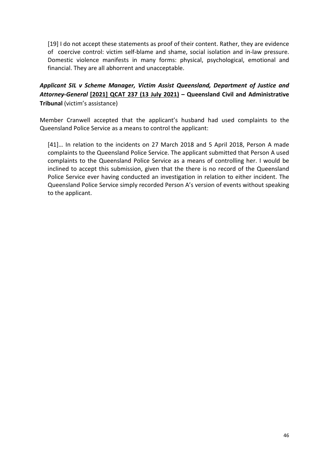[19] I do not accept these statements as proof of their content. Rather, they are evidence of coercive control: victim self-blame and shame, social isolation and in-law pressure. Domestic violence manifests in many forms: physical, psychological, emotional and financial. They are all abhorrent and unacceptable.

## *Applicant SIL v Scheme Manager, Victim Assist Queensland, Department of Justice and Attorney-General* **[\[2021\] QCAT 237 \(13 July 2021\)](http://www.austlii.edu.au/au/cases/qld/QCAT/2021/237.html) – Queensland Civil and Administrative Tribunal** (victim's assistance)

Member Cranwell accepted that the applicant's husband had used complaints to the Queensland Police Service as a means to control the applicant:

[41]… In relation to the incidents on 27 March 2018 and 5 April 2018, Person A made complaints to the Queensland Police Service. The applicant submitted that Person A used complaints to the Queensland Police Service as a means of controlling her. I would be inclined to accept this submission, given that the there is no record of the Queensland Police Service ever having conducted an investigation in relation to either incident. The Queensland Police Service simply recorded Person A's version of events without speaking to the applicant.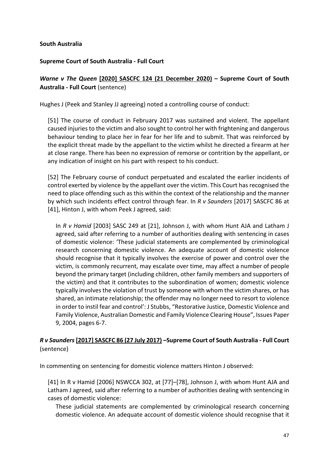#### <span id="page-47-0"></span>**South Australia**

#### <span id="page-47-1"></span>**Supreme Court of South Australia - Full Court**

*Warne v The Queen* **[\[2020\] SASCFC 124 \(21 December 2020\)](http://www.austlii.edu.au/cgi-bin/viewdoc/au/cases/sa/SASCFC/2020/124.html) – Supreme Court of South Australia - Full Court** (sentence)

Hughes J (Peek and Stanley JJ agreeing) noted a controlling course of conduct:

[51] The course of conduct in February 2017 was sustained and violent. The appellant caused injuries to the victim and also sought to control her with frightening and dangerous behaviour tending to place her in fear for her life and to submit. That was reinforced by the explicit threat made by the appellant to the victim whilst he directed a firearm at her at close range. There has been no expression of remorse or contrition by the appellant, or any indication of insight on his part with respect to his conduct.

[52] The February course of conduct perpetuated and escalated the earlier incidents of control exerted by violence by the appellant over the victim. This Court has recognised the need to place offending such as this within the context of the relationship and the manner by which such incidents effect control through fear. In *R v Saunders* [2017] SASCFC 86 at [41], Hinton J, with whom Peek J agreed, said:

In *R v Hamid* [2003] SASC 249 at [21], Johnson J, with whom Hunt AJA and Latham J agreed, said after referring to a number of authorities dealing with sentencing in cases of domestic violence: 'These judicial statements are complemented by criminological research concerning domestic violence. An adequate account of domestic violence should recognise that it typically involves the exercise of power and control over the victim, is commonly recurrent, may escalate over time, may affect a number of people beyond the primary target (including children, other family members and supporters of the victim) and that it contributes to the subordination of women; domestic violence typically involves the violation of trust by someone with whom the victim shares, or has shared, an intimate relationship; the offender may no longer need to resort to violence in order to instil fear and control': J Stubbs, "Restorative Justice, Domestic Violence and Family Violence, Australian Domestic and Family Violence Clearing House", Issues Paper 9, 2004, pages 6-7.

## *R v Saunders***[\[2017\] SASCFC 86 \(27 July 2017\)](http://www.austlii.edu.au/cgi-bin/viewdoc/au/cases/sa/SASCFC/2017/86.html) –Supreme Court of South Australia - Full Court**  (sentence)

In commenting on sentencing for domestic violence matters Hinton J observed:

[41] In R v Hamid [2006] NSWCCA 302, at [77]–[78], Johnson J, with whom Hunt AJA and Latham J agreed, said after referring to a number of authorities dealing with sentencing in cases of domestic violence:

These judicial statements are complemented by criminological research concerning domestic violence. An adequate account of domestic violence should recognise that it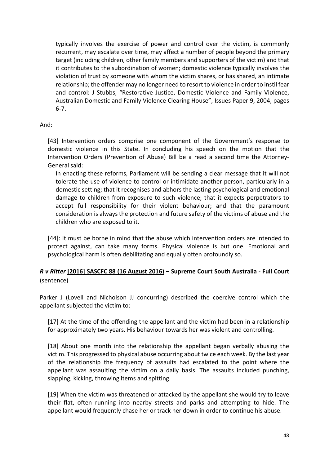typically involves the exercise of power and control over the victim, is commonly recurrent, may escalate over time, may affect a number of people beyond the primary target (including children, other family members and supporters of the victim) and that it contributes to the subordination of women; domestic violence typically involves the violation of trust by someone with whom the victim shares, or has shared, an intimate relationship; the offender may no longer need to resort to violence in order to instil fear and control: J Stubbs, "Restorative Justice, Domestic Violence and Family Violence, Australian Domestic and Family Violence Clearing House", Issues Paper 9, 2004, pages 6-7.

#### And:

[43] Intervention orders comprise one component of the Government's response to domestic violence in this State. In concluding his speech on the motion that the Intervention Orders (Prevention of Abuse) Bill be a read a second time the Attorney-General said:

In enacting these reforms, Parliament will be sending a clear message that it will not tolerate the use of violence to control or intimidate another person, particularly in a domestic setting; that it recognises and abhors the lasting psychological and emotional damage to children from exposure to such violence; that it expects perpetrators to accept full responsibility for their violent behaviour; and that the paramount consideration is always the protection and future safety of the victims of abuse and the children who are exposed to it.

[44]: It must be borne in mind that the abuse which intervention orders are intended to protect against, can take many forms. Physical violence is but one. Emotional and psychological harm is often debilitating and equally often profoundly so.

## *R v Ritter* **[\[2016\] SASCFC 88 \(16 August 2016\)](http://www.austlii.edu.au/cgi-bin/viewdoc/au/cases/sa/SASCFC/2016/88.html) – Supreme Court South Australia - Full Court**  (sentence)

Parker J (Lovell and Nicholson JJ concurring) described the coercive control which the appellant subjected the victim to:

[17] At the time of the offending the appellant and the victim had been in a relationship for approximately two years. His behaviour towards her was violent and controlling.

[18] About one month into the relationship the appellant began verbally abusing the victim. This progressed to physical abuse occurring about twice each week. By the last year of the relationship the frequency of assaults had escalated to the point where the appellant was assaulting the victim on a daily basis. The assaults included punching, slapping, kicking, throwing items and spitting.

[19] When the victim was threatened or attacked by the appellant she would try to leave their flat, often running into nearby streets and parks and attempting to hide. The appellant would frequently chase her or track her down in order to continue his abuse.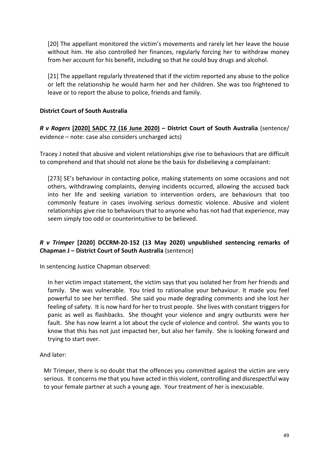[20] The appellant monitored the victim's movements and rarely let her leave the house without him. He also controlled her finances, regularly forcing her to withdraw money from her account for his benefit, including so that he could buy drugs and alcohol.

[21] The appellant regularly threatened that if the victim reported any abuse to the police or left the relationship he would harm her and her children. She was too frightened to leave or to report the abuse to police, friends and family.

### <span id="page-49-0"></span>**District Court of South Australia**

*R v Rogers* **[\[2020\] SADC 72 \(16 June 2020\)](http://www.austlii.edu.au/cgi-bin/viewdoc/au/cases/sa/SADC/2020/72.html) – District Court of South Australia** (sentence/ evidence – note: case also considers uncharged acts)

Tracey J noted that abusive and violent relationships give rise to behaviours that are difficult to comprehend and that should not alone be the basis for disbelieving a complainant:

[273] SE's behaviour in contacting police, making statements on some occasions and not others, withdrawing complaints, denying incidents occurred, allowing the accused back into her life and seeking variation to intervention orders, are behaviours that too commonly feature in cases involving serious domestic violence. Abusive and violent relationships give rise to behaviours that to anyone who has not had that experience, may seem simply too odd or counterintuitive to be believed.

## *R v Trimper* **[2020] DCCRM-20-152 (13 May 2020) unpublished sentencing remarks of Chapman J – District Court of South Australia** (sentence)

In sentencing Justice Chapman observed:

In her victim impact statement, the victim says that you isolated her from her friends and family. She was vulnerable. You tried to rationalise your behaviour. It made you feel powerful to see her terrified. She said you made degrading comments and she lost her feeling of safety. It is now hard for her to trust people. She lives with constant triggers for panic as well as flashbacks. She thought your violence and angry outbursts were her fault. She has now learnt a lot about the cycle of violence and control. She wants you to know that this has not just impacted her, but also her family. She is looking forward and trying to start over.

#### And later:

Mr Trimper, there is no doubt that the offences you committed against the victim are very serious. It concerns me that you have acted in this violent, controlling and disrespectful way to your female partner at such a young age. Your treatment of her is inexcusable.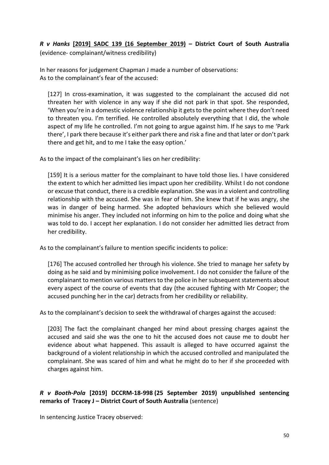*R v Hanks* **[\[2019\] SADC 139 \(16 September 2019\)](http://www.austlii.edu.au/cgi-bin/viewdoc/au/cases/sa/SADC/2019/139.html) – District Court of South Australia** (evidence- complainant/witness credibility)

In her reasons for judgement Chapman J made a number of observations: As to the complainant's fear of the accused:

[127] In cross-examination, it was suggested to the complainant the accused did not threaten her with violence in any way if she did not park in that spot. She responded, 'When you're in a domestic violence relationship it gets to the point where they don't need to threaten you. I'm terrified. He controlled absolutely everything that I did, the whole aspect of my life he controlled. I'm not going to argue against him. If he says to me 'Park there', I park there because it's either park there and risk a fine and that later or don't park there and get hit, and to me I take the easy option.'

As to the impact of the complainant's lies on her credibility:

[159] It is a serious matter for the complainant to have told those lies. I have considered the extent to which her admitted lies impact upon her credibility. Whilst I do not condone or excuse that conduct, there is a credible explanation. She was in a violent and controlling relationship with the accused. She was in fear of him. She knew that if he was angry, she was in danger of being harmed. She adopted behaviours which she believed would minimise his anger. They included not informing on him to the police and doing what she was told to do. I accept her explanation. I do not consider her admitted lies detract from her credibility.

As to the complainant's failure to mention specific incidents to police:

[176] The accused controlled her through his violence. She tried to manage her safety by doing as he said and by minimising police involvement. I do not consider the failure of the complainant to mention various matters to the police in her subsequent statements about every aspect of the course of events that day (the accused fighting with Mr Cooper; the accused punching her in the car) detracts from her credibility or reliability.

As to the complainant's decision to seek the withdrawal of charges against the accused:

[203] The fact the complainant changed her mind about pressing charges against the accused and said she was the one to hit the accused does not cause me to doubt her evidence about what happened. This assault is alleged to have occurred against the background of a violent relationship in which the accused controlled and manipulated the complainant. She was scared of him and what he might do to her if she proceeded with charges against him.

## *R v Booth-Pola* **[2019] DCCRM-18-998 (25 September 2019) unpublished sentencing remarks of Tracey J – District Court of South Australia** (sentence)

In sentencing Justice Tracey observed: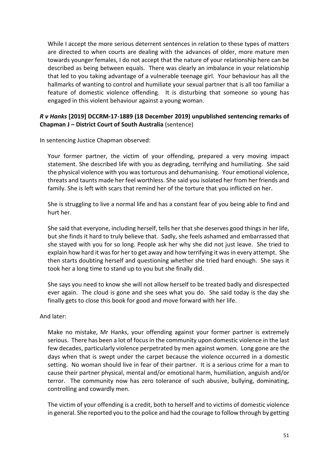While I accept the more serious deterrent sentences in relation to these types of matters are directed to when courts are dealing with the advances of older, more mature men towards younger females, I do not accept that the nature of your relationship here can be described as being between equals. There was clearly an imbalance in your relationship that led to you taking advantage of a vulnerable teenage girl. Your behaviour has all the hallmarks of wanting to control and humiliate your sexual partner that is all too familiar a feature of domestic violence offending. It is disturbing that someone so young has engaged in this violent behaviour against a young woman.

### *R v Hanks* **[2019] DCCRM-17-1889 (18 December 2019) unpublished sentencing remarks of Chapman J – District Court of South Australia** (sentence)

In sentencing Justice Chapman observed:

Your former partner, the victim of your offending, prepared a very moving impact statement. She described life with you as degrading, terrifying and humiliating. She said the physical violence with you was torturous and dehumanising. Your emotional violence, threats and taunts made her feel worthless. She said you isolated her from her friends and family. She is left with scars that remind her of the torture that you inflicted on her.

She is struggling to live a normal life and has a constant fear of you being able to find and hurt her.

She said that everyone, including herself, tells her that she deserves good things in her life, but she finds it hard to truly believe that. Sadly, she feels ashamed and embarrassed that she stayed with you for so long. People ask her why she did not just leave. She tried to explain how hard it was for her to get away and how terrifying it was in every attempt. She then starts doubting herself and questioning whether she tried hard enough. She says it took her a long time to stand up to you but she finally did.

She says you need to know she will not allow herself to be treated badly and disrespected ever again. The cloud is gone and she sees what you do. She said today is the day she finally gets to close this book for good and move forward with her life.

#### And later:

Make no mistake, Mr Hanks, your offending against your former partner is extremely serious. There has been a lot of focus in the community upon domestic violence in the last few decades, particularly violence perpetrated by men against women. Long gone are the days when that is swept under the carpet because the violence occurred in a domestic setting. No woman should live in fear of their partner. It is a serious crime for a man to cause their partner physical, mental and/or emotional harm, humiliation, anguish and/or terror. The community now has zero tolerance of such abusive, bullying, dominating, controlling and cowardly men.

The victim of your offending is a credit, both to herself and to victims of domestic violence in general. She reported you to the police and had the courage to follow through by getting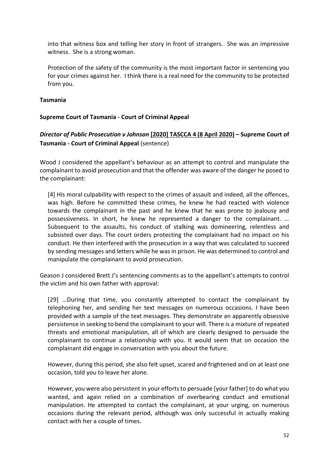into that witness box and telling her story in front of strangers. She was an impressive witness. She is a strong woman.

Protection of the safety of the community is the most important factor in sentencing you for your crimes against her. I think there is a real need for the community to be protected from you.

#### <span id="page-52-0"></span>**Tasmania**

#### <span id="page-52-1"></span>**Supreme Court of Tasmania - Court of Criminal Appeal**

## *Director of Public Prosecution v Johnson* **[\[2020\] TASCCA 4 \(8 April 2020\)](http://www.austlii.edu.au/cgi-bin/viewdoc/au/cases/tas/TASCCA/2020/4.html) – Supreme Court of Tasmania - Court of Criminal Appeal** (sentence)

Wood J considered the appellant's behaviour as an attempt to control and manipulate the complainant to avoid prosecution and that the offender was aware of the danger he posed to the complainant:

[4] His moral culpability with respect to the crimes of assault and indeed, all the offences, was high. Before he committed these crimes, he knew he had reacted with violence towards the complainant in the past and he knew that he was prone to jealousy and possessiveness. In short, he knew he represented a danger to the complainant. … Subsequent to the assaults, his conduct of stalking was domineering, relentless and subsisted over days. The court orders protecting the complainant had no impact on his conduct. He then interfered with the prosecution in a way that was calculated to succeed by sending messages and letters while he was in prison. He was determined to control and manipulate the complainant to avoid prosecution.

Geason J considered Brett J's sentencing comments as to the appellant's attempts to control the victim and his own father with approval:

[29] …During that time, you constantly attempted to contact the complainant by telephoning her, and sending her text messages on numerous occasions. I have been provided with a sample of the text messages. They demonstrate an apparently obsessive persistence in seeking to bend the complainant to your will. There is a mixture of repeated threats and emotional manipulation, all of which are clearly designed to persuade the complainant to continue a relationship with you. It would seem that on occasion the complainant did engage in conversation with you about the future.

However, during this period, she also felt upset, scared and frightened and on at least one occasion, told you to leave her alone.

However, you were also persistent in your efforts to persuade [your father] to do what you wanted, and again relied on a combination of overbearing conduct and emotional manipulation. He attempted to contact the complainant, at your urging, on numerous occasions during the relevant period, although was only successful in actually making contact with her a couple of times.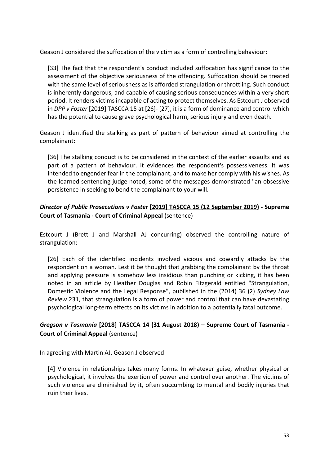Geason J considered the suffocation of the victim as a form of controlling behaviour:

[33] The fact that the respondent's conduct included suffocation has significance to the assessment of the objective seriousness of the offending. Suffocation should be treated with the same level of seriousness as is afforded strangulation or throttling. Such conduct is inherently dangerous, and capable of causing serious consequences within a very short period. It renders victims incapable of acting to protect themselves. As Estcourt J observed in *DPP v Foster* [2019] TASCCA 15 at [26]- [27], it is a form of dominance and control which has the potential to cause grave psychological harm, serious injury and even death.

Geason J identified the stalking as part of pattern of behaviour aimed at controlling the complainant:

[36] The stalking conduct is to be considered in the context of the earlier assaults and as part of a pattern of behaviour. It evidences the respondent's possessiveness. It was intended to engender fear in the complainant, and to make her comply with his wishes. As the learned sentencing judge noted, some of the messages demonstrated "an obsessive persistence in seeking to bend the complainant to your will.

## *Director of Public Prosecutions v Foster* **[\[2019\] TASCCA 15 \(12 September 2019\)](http://www.austlii.edu.au/au/cases/tas/TASCCA/2019/15.html) - Supreme Court of Tasmania - Court of Criminal Appeal** (sentence)

Estcourt J (Brett J and Marshall AJ concurring) observed the controlling nature of strangulation:

[26] Each of the identified incidents involved vicious and cowardly attacks by the respondent on a woman. Lest it be thought that grabbing the complainant by the throat and applying pressure is somehow less insidious than punching or kicking, it has been noted in an article by Heather Douglas and Robin Fitzgerald entitled "Strangulation, Domestic Violence and the Legal Response", published in the (2014) 36 (2) *Sydney Law Review* 231, that strangulation is a form of power and control that can have devastating psychological long-term effects on its victims in addition to a potentially fatal outcome.

## *Gregson v Tasmania* **[\[2018\] TASCCA 14 \(31 August 2018\)](http://www.austlii.edu.au/cgi-bin/viewdoc/au/cases/tas/TASCCA/2018/14.html) – Supreme Court of Tasmania - Court of Criminal Appeal** (sentence)

In agreeing with Martin AJ, Geason J observed:

[4] Violence in relationships takes many forms. In whatever guise, whether physical or psychological, it involves the exertion of power and control over another. The victims of such violence are diminished by it, often succumbing to mental and bodily injuries that ruin their lives.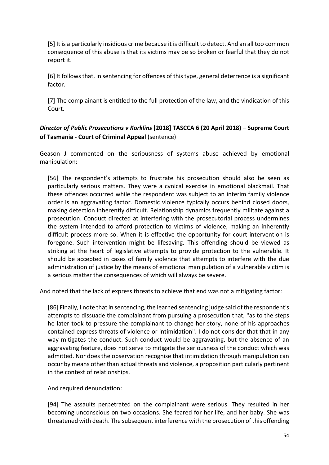[5] It is a particularly insidious crime because it is difficult to detect. And an all too common consequence of this abuse is that its victims may be so broken or fearful that they do not report it.

[6] It follows that, in sentencing for offences of this type, general deterrence is a significant factor.

[7] The complainant is entitled to the full protection of the law, and the vindication of this Court.

## *Director of Public Prosecutions v Karklins* **[\[2018\] TASCCA 6 \(20 April 2018\)](http://www.austlii.edu.au/cgi-bin/viewdoc/au/cases/tas/TASCCA/2018/6.html) – Supreme Court of Tasmania - Court of Criminal Appeal** (sentence)

Geason J commented on the seriousness of systems abuse achieved by emotional manipulation:

[56] The respondent's attempts to frustrate his prosecution should also be seen as particularly serious matters. They were a cynical exercise in emotional blackmail. That these offences occurred while the respondent was subject to an interim family violence order is an aggravating factor. Domestic violence typically occurs behind closed doors, making detection inherently difficult. Relationship dynamics frequently militate against a prosecution. Conduct directed at interfering with the prosecutorial process undermines the system intended to afford protection to victims of violence, making an inherently difficult process more so. When it is effective the opportunity for court intervention is foregone. Such intervention might be lifesaving. This offending should be viewed as striking at the heart of legislative attempts to provide protection to the vulnerable. It should be accepted in cases of family violence that attempts to interfere with the due administration of justice by the means of emotional manipulation of a vulnerable victim is a serious matter the consequences of which will always be severe.

And noted that the lack of express threats to achieve that end was not a mitigating factor:

[86] Finally, I note that in sentencing, the learned sentencing judge said of the respondent's attempts to dissuade the complainant from pursuing a prosecution that, "as to the steps he later took to pressure the complainant to change her story, none of his approaches contained express threats of violence or intimidation". I do not consider that that in any way mitigates the conduct. Such conduct would be aggravating, but the absence of an aggravating feature, does not serve to mitigate the seriousness of the conduct which was admitted. Nor does the observation recognise that intimidation through manipulation can occur by means other than actual threats and violence, a proposition particularly pertinent in the context of relationships.

And required denunciation:

[94] The assaults perpetrated on the complainant were serious. They resulted in her becoming unconscious on two occasions. She feared for her life, and her baby. She was threatened with death. The subsequent interference with the prosecution of this offending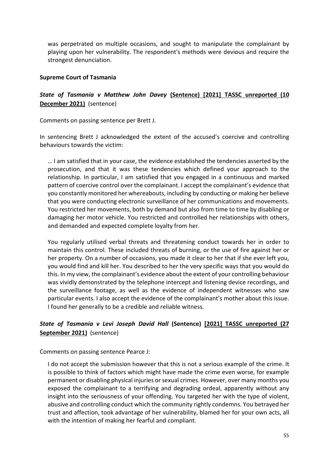was perpetrated on multiple occasions, and sought to manipulate the complainant by playing upon her vulnerability. The respondent's methods were devious and require the strongest denunciation.

#### <span id="page-55-0"></span>**Supreme Court of Tasmania**

## *State of Tasmania v Matthew John Davey* **[\(Sentence\) \[2021\] TASSC unreported \(10](https://www.supremecourt.tas.gov.au/sentences/davey-m-j-2/)  [December 2021\)](https://www.supremecourt.tas.gov.au/sentences/davey-m-j-2/)** (sentence)

Comments on passing sentence per Brett J.

In sentencing Brett J acknowledged the extent of the accused's coercive and controlling behaviours towards the victim:

… I am satisfied that in your case, the evidence established the tendencies asserted by the prosecution, and that it was these tendencies which defined your approach to the relationship. In particular, I am satisfied that you engaged in a continuous and marked pattern of coercive control over the complainant. I accept the complainant's evidence that you constantly monitored her whereabouts, including by conducting or making her believe that you were conducting electronic surveillance of her communications and movements. You restricted her movements, both by demand but also from time to time by disabling or damaging her motor vehicle. You restricted and controlled her relationships with others, and demanded and expected complete loyalty from her.

You regularly utilised verbal threats and threatening conduct towards her in order to maintain this control. These included threats of burning, or the use of fire against her or her property. On a number of occasions, you made it clear to her that if she ever left you, you would find and kill her. You described to her the very specific ways that you would do this. In my view, the complainant's evidence about the extent of your controlling behaviour was vividly demonstrated by the telephone intercept and listening device recordings, and the surveillance footage, as well as the evidence of independent witnesses who saw particular events. I also accept the evidence of the complainant's mother about this issue. I found her generally to be a credible and reliable witness.

## *State of Tasmania v Levi Joseph David Hall* **(Sentence) [\[2021\] TASSC unreported \(27](https://catalogue.lawlibrary.tas.gov.au/attachments/130068/Hall%20-%2027%20September%202021.pdf)  [September 2021\)](https://catalogue.lawlibrary.tas.gov.au/attachments/130068/Hall%20-%2027%20September%202021.pdf)** (sentence)

Comments on passing sentence Pearce J:

I do not accept the submission however that this is not a serious example of the crime. It is possible to think of factors which might have made the crime even worse, for example permanent or disabling physical injuries or sexual crimes. However, over many months you exposed the complainant to a terrifying and degrading ordeal, apparently without any insight into the seriousness of your offending. You targeted her with the type of violent, abusive and controlling conduct which the community rightly condemns. You betrayed her trust and affection, took advantage of her vulnerability, blamed her for your own acts, all with the intention of making her fearful and compliant.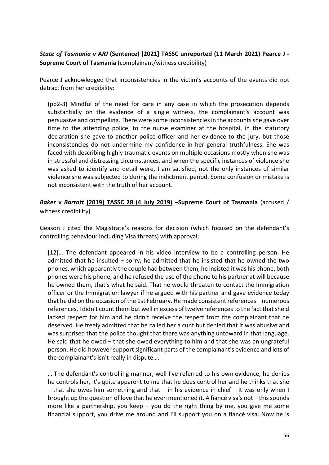## *State of Tasmania v ARJ* **(Sentence) [\[2021\] TASSC unreported \(11 March 2021\)](https://catalogue.lawlibrary.tas.gov.au/attachments/123989/ARJ-11-March-2021(A).pdf) Pearce J - Supreme Court of Tasmania** (complainant/witness credibility)

Pearce J acknowledged that inconsistencies in the victim's accounts of the events did not detract from her credibility:

(pp2-3) Mindful of the need for care in any case in which the prosecution depends substantially on the evidence of a single witness, the complainant's account was persuasive and compelling. There were some inconsistencies in the accounts she gave over time to the attending police, to the nurse examiner at the hospital, in the statutory declaration she gave to another police officer and her evidence to the jury, but those inconsistencies do not undermine my confidence in her general truthfulness. She was faced with describing highly traumatic events on multiple occasions mostly when she was in stressful and distressing circumstances, and when the specific instances of violence she was asked to identify and detail were, I am satisfied, not the only instances of similar violence she was subjected to during the indictment period. Some confusion or mistake is not inconsistent with the truth of her account.

*Baker v Barratt* **[\[2019\] TASSC 28 \(4 July 2019\)](http://www.austlii.edu.au/cgi-bin/viewdoc/au/cases/tas/TASSC/2019/28.html) –Supreme Court of Tasmania** (accused / witness credibility)

Geason J cited the Magistrate's reasons for decision (which focused on the defendant's controlling behaviour including Visa threats) with approval:

[12]… The defendant appeared in his video interview to be a controlling person. He admitted that he insulted  $-$  sorry, he admitted that he insisted that he owned the two phones, which apparently the couple had between them, he insisted it was his phone, both phones were his phone, and he refused the use of the phone to his partner at will because he owned them, that's what he said. That he would threaten to contact the Immigration officer or the Immigration lawyer if he argued with his partner and gave evidence today that he did on the occasion of the 1st February. He made consistent references – numerous references, I didn't count them but well in excess of twelve references to the fact that she'd lacked respect for him and he didn't receive the respect from the complainant that he deserved. He freely admitted that he called her a cunt but denied that it was abusive and was surprised that the police thought that there was anything untoward in that language. He said that he owed – that she owed everything to him and that she was an ungrateful person. He did however support significant parts of the complainant's evidence and lots of the complainant's isn't really in dispute….

….The defendant's controlling manner, well I've referred to his own evidence, he denies he controls her, it's quite apparent to me that he does control her and he thinks that she  $-$  that she owes him something and that  $-$  in his evidence in chief  $-$  it was only when I brought up the question of love that he even mentioned it. A fiancé visa's not – this sounds more like a partnership, you keep  $-$  you do the right thing by me, you give me some financial support, you drive me around and I'll support you on a fiancé visa. Now he is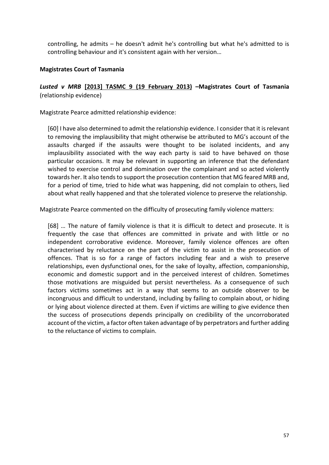controlling, he admits – he doesn't admit he's controlling but what he's admitted to is controlling behaviour and it's consistent again with her version…

#### <span id="page-57-0"></span>**Magistrates Court of Tasmania**

## *Lusted v MRB* **[\[2013\] TASMC 9 \(19 February 2013\)](http://www.austlii.edu.au/cgi-bin/viewdoc/au/cases/tas/TASMC/2013/9.html) –Magistrates Court of Tasmania** (relationship evidence)

Magistrate Pearce admitted relationship evidence:

[60] I have also determined to admit the relationship evidence. I consider that it is relevant to removing the implausibility that might otherwise be attributed to MG's account of the assaults charged if the assaults were thought to be isolated incidents, and any implausibility associated with the way each party is said to have behaved on those particular occasions. It may be relevant in supporting an inference that the defendant wished to exercise control and domination over the complainant and so acted violently towards her. It also tends to support the prosecution contention that MG feared MRB and, for a period of time, tried to hide what was happening, did not complain to others, lied about what really happened and that she tolerated violence to preserve the relationship.

Magistrate Pearce commented on the difficulty of prosecuting family violence matters:

[68] … The nature of family violence is that it is difficult to detect and prosecute. It is frequently the case that offences are committed in private and with little or no independent corroborative evidence. Moreover, family violence offences are often characterised by reluctance on the part of the victim to assist in the prosecution of offences. That is so for a range of factors including fear and a wish to preserve relationships, even dysfunctional ones, for the sake of loyalty, affection, companionship, economic and domestic support and in the perceived interest of children. Sometimes those motivations are misguided but persist nevertheless. As a consequence of such factors victims sometimes act in a way that seems to an outside observer to be incongruous and difficult to understand, including by failing to complain about, or hiding or lying about violence directed at them. Even if victims are willing to give evidence then the success of prosecutions depends principally on credibility of the uncorroborated account of the victim, a factor often taken advantage of by perpetrators and further adding to the reluctance of victims to complain.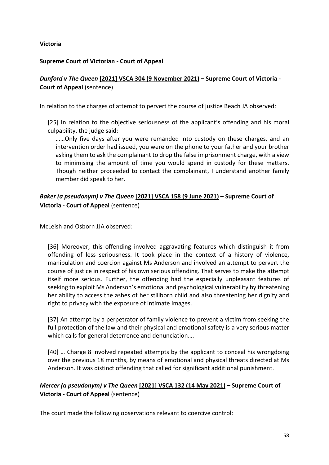#### <span id="page-58-0"></span>**Victoria**

#### <span id="page-58-1"></span>**Supreme Court of Victorian - Court of Appeal**

## *Dunford v The Queen* **[\[2021\] VSCA 304 \(9 November 2021\)](http://www.austlii.edu.au/au/cases/vic/VSCA/2021/304.html) – Supreme Court of Victoria - Court of Appeal** (sentence)

In relation to the charges of attempt to pervert the course of justice Beach JA observed:

[25] In relation to the objective seriousness of the applicant's offending and his moral culpability, the judge said:

……Only five days after you were remanded into custody on these charges, and an intervention order had issued, you were on the phone to your father and your brother asking them to ask the complainant to drop the false imprisonment charge, with a view to minimising the amount of time you would spend in custody for these matters. Though neither proceeded to contact the complainant, I understand another family member did speak to her.

## *Baker (a pseudonym) v The Queen* **[\[2021\] VSCA 158 \(9 June 2021\)](http://www.austlii.edu.au/au/cases/vic/VSCA/2021/158.html) – Supreme Court of Victoria - Court of Appeal** (sentence)

McLeish and Osborn JJA observed:

[36] Moreover, this offending involved aggravating features which distinguish it from offending of less seriousness. It took place in the context of a history of violence, manipulation and coercion against Ms Anderson and involved an attempt to pervert the course of justice in respect of his own serious offending. That serves to make the attempt itself more serious. Further, the offending had the especially unpleasant features of seeking to exploit Ms Anderson's emotional and psychological vulnerability by threatening her ability to access the ashes of her stillborn child and also threatening her dignity and right to privacy with the exposure of intimate images.

[37] An attempt by a perpetrator of family violence to prevent a victim from seeking the full protection of the law and their physical and emotional safety is a very serious matter which calls for general deterrence and denunciation….

[40] … Charge 8 involved repeated attempts by the applicant to conceal his wrongdoing over the previous 18 months, by means of emotional and physical threats directed at Ms Anderson. It was distinct offending that called for significant additional punishment.

## *Mercer (a pseudonym) v The Queen* **[\[2021\] VSCA 132 \(14 May 2021\)](http://www.austlii.edu.au/au/cases/vic/VSCA/2021/132.html) – Supreme Court of Victoria - Court of Appeal** (sentence)

The court made the following observations relevant to coercive control: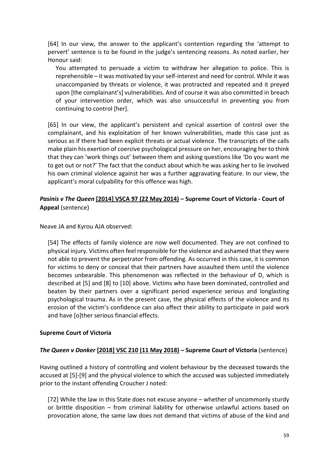[64] In our view, the answer to the applicant's contention regarding the 'attempt to pervert' sentence is to be found in the judge's sentencing reasons. As noted earlier, her Honour said:

You attempted to persuade a victim to withdraw her allegation to police. This is reprehensible – it was motivated by your self-interest and need for control. While it was unaccompanied by threats or violence, it was protracted and repeated and it preyed upon [the complainant's] vulnerabilities. And of course it was also committed in breach of your intervention order, which was also unsuccessful in preventing you from continuing to control [her].

[65] In our view, the applicant's persistent and cynical assertion of control over the complainant, and his exploitation of her known vulnerabilities, made this case just as serious as if there had been explicit threats or actual violence. The transcripts of the calls make plain his exertion of coercive psychological pressure on her, encouraging her to think that they can 'work things out' between them and asking questions like 'Do you want me to get out or not?' The fact that the conduct about which he was asking her to lie involved his own criminal violence against her was a further aggravating feature. In our view, the applicant's moral culpability for this offence was high.

## *Pasinis v The Queen* **[\[2014\] VSCA 97 \(22 May 2014\)](http://www.austlii.edu.au/au/cases/vic/VSCA/2014/97.html) – Supreme Court of Victoria - Court of Appeal** (sentence)

Neave JA and Kyrou AJA observed:

[54] The effects of family violence are now well documented. They are not confined to physical injury. Victims often feel responsible for the violence and ashamed that they were not able to prevent the perpetrator from offending. As occurred in this case, it is common for victims to deny or conceal that their partners have assaulted them until the violence becomes unbearable. This phenomenon was reflected in the behaviour of D, which is described at [5] and [8] to [10] above. Victims who have been dominated, controlled and beaten by their partners over a significant period experience serious and longlasting psychological trauma. As in the present case, the physical effects of the violence and its erosion of the victim's confidence can also affect their ability to participate in paid work and have [o]ther serious financial effects.

#### <span id="page-59-0"></span>**Supreme Court of Victoria**

#### *The Queen v Donker* **[\[2018\] VSC 210 \(11 May 2018\)](http://www.austlii.edu.au/au/cases/vic/VSC/2018/210.html) – Supreme Court of Victoria** (sentence)

Having outlined a history of controlling and violent behaviour by the deceased towards the accused at [5]-[9] and the physical violence to which the accused was subjected immediately prior to the instant offending Croucher J noted:

[72] While the law in this State does not excuse anyone – whether of uncommonly sturdy or brittle disposition – from criminal liability for otherwise unlawful actions based on provocation alone, the same law does not demand that victims of abuse of the kind and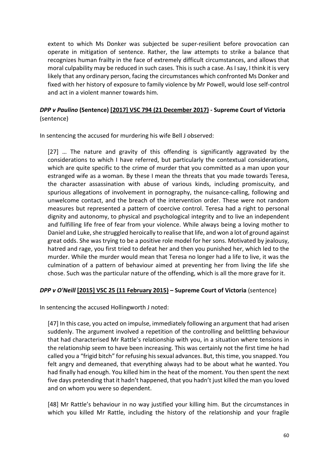extent to which Ms Donker was subjected be super-resilient before provocation can operate in mitigation of sentence. Rather, the law attempts to strike a balance that recognizes human frailty in the face of extremely difficult circumstances, and allows that moral culpability may be reduced in such cases. This is such a case. As I say, I think it is very likely that any ordinary person, facing the circumstances which confronted Ms Donker and fixed with her history of exposure to family violence by Mr Powell, would lose self-control and act in a violent manner towards him.

## *DPP v Paulino* **(Sentence) [\[2017\] VSC 794 \(21 December 2017\)](http://www.austlii.edu.au/au/cases/vic/VSC/2017/794.html) - Supreme Court of Victoria** (sentence)

In sentencing the accused for murdering his wife Bell J observed:

[27] … The nature and gravity of this offending is significantly aggravated by the considerations to which I have referred, but particularly the contextual considerations, which are quite specific to the crime of murder that you committed as a man upon your estranged wife as a woman. By these I mean the threats that you made towards Teresa, the character assassination with abuse of various kinds, including promiscuity, and spurious allegations of involvement in pornography, the nuisance-calling, following and unwelcome contact, and the breach of the intervention order. These were not random measures but represented a pattern of coercive control. Teresa had a right to personal dignity and autonomy, to physical and psychological integrity and to live an independent and fulfilling life free of fear from your violence. While always being a loving mother to Daniel and Luke, she struggled heroically to realise that life, and won a lot of ground against great odds. She was trying to be a positive role model for her sons. Motivated by jealousy, hatred and rage, you first tried to defeat her and then you punished her, which led to the murder. While the murder would mean that Teresa no longer had a life to live, it was the culmination of a pattern of behaviour aimed at preventing her from living the life she chose. Such was the particular nature of the offending, which is all the more grave for it.

#### *DPP v O'Neill* **[\[2015\] VSC 25 \(11 February 2015\)](http://www.austlii.edu.au/au/cases/vic/VSC/2015/25.html) – Supreme Court of Victoria** (sentence)

In sentencing the accused Hollingworth J noted:

[47] In this case, you acted on impulse, immediately following an argument that had arisen suddenly. The argument involved a repetition of the controlling and belittling behaviour that had characterised Mr Rattle's relationship with you, in a situation where tensions in the relationship seem to have been increasing. This was certainly not the first time he had called you a "frigid bitch" for refusing his sexual advances. But, this time, you snapped. You felt angry and demeaned, that everything always had to be about what he wanted. You had finally had enough. You killed him in the heat of the moment. You then spent the next five days pretending that it hadn't happened, that you hadn't just killed the man you loved and on whom you were so dependent.

[48] Mr Rattle's behaviour in no way justified your killing him. But the circumstances in which you killed Mr Rattle, including the history of the relationship and your fragile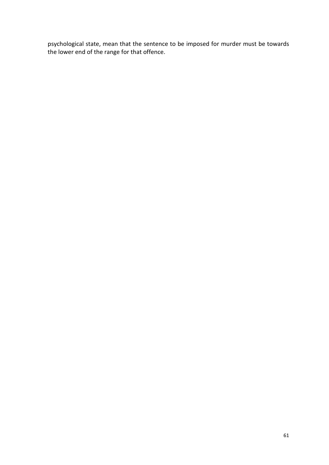psychological state, mean that the sentence to be imposed for murder must be towards the lower end of the range for that offence.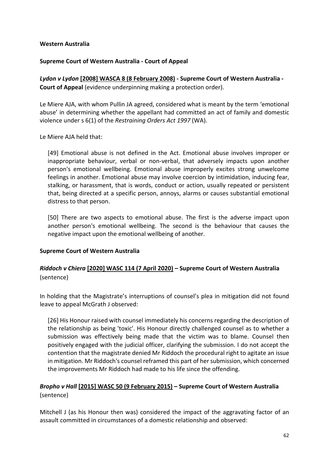#### <span id="page-62-0"></span>**Western Australia**

#### <span id="page-62-1"></span>**Supreme Court of Western Australia - Court of Appeal**

*Lydon v Lydon* **[\[2008\] WASCA 8 \(8 February 2008\)](http://www.austlii.edu.au/au/cases/wa/WASCA/2008/8.html) - Supreme Court of Western Australia - Court of Appeal** (evidence underpinning making a protection order).

Le Miere AJA, with whom Pullin JA agreed, considered what is meant by the term 'emotional abuse' in determining whether the appellant had committed an act of family and domestic violence under s 6(1) of the *Restraining Orders Act 1997* (WA).

Le Miere AJA held that:

[49] Emotional abuse is not defined in the Act. Emotional abuse involves improper or inappropriate behaviour, verbal or non-verbal, that adversely impacts upon another person's emotional wellbeing. Emotional abuse improperly excites strong unwelcome feelings in another. Emotional abuse may involve coercion by intimidation, inducing fear, stalking, or harassment, that is words, conduct or action, usually repeated or persistent that, being directed at a specific person, annoys, alarms or causes substantial emotional distress to that person.

[50] There are two aspects to emotional abuse. The first is the adverse impact upon another person's emotional wellbeing. The second is the behaviour that causes the negative impact upon the emotional wellbeing of another.

#### <span id="page-62-2"></span>**Supreme Court of Western Australia**

## *Riddoch v Chiera* **[\[2020\] WASC 114 \(7 April 2020\)](http://www.austlii.edu.au/au/cases/wa/WASC/2020/114.html) – Supreme Court of Western Australia** (sentence)

In holding that the Magistrate's interruptions of counsel's plea in mitigation did not found leave to appeal McGrath J observed:

[26] His Honour raised with counsel immediately his concerns regarding the description of the relationship as being 'toxic'. His Honour directly challenged counsel as to whether a submission was effectively being made that the victim was to blame. Counsel then positively engaged with the judicial officer, clarifying the submission. I do not accept the contention that the magistrate denied Mr Riddoch the procedural right to agitate an issue in mitigation. Mr Riddoch's counsel reframed this part of her submission, which concerned the improvements Mr Riddoch had made to his life since the offending.

## *Bropho v Hall* **[\[2015\] WASC 50 \(9 February 2015\)](http://www.austlii.edu.au/au/cases/wa/WASC/2015/50.html) – Supreme Court of Western Australia** (sentence)

Mitchell J (as his Honour then was) considered the impact of the aggravating factor of an assault committed in circumstances of a domestic relationship and observed: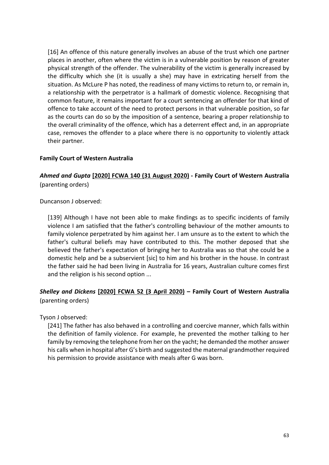[16] An offence of this nature generally involves an abuse of the trust which one partner places in another, often where the victim is in a vulnerable position by reason of greater physical strength of the offender. The vulnerability of the victim is generally increased by the difficulty which she (it is usually a she) may have in extricating herself from the situation. As McLure P has noted, the readiness of many victims to return to, or remain in, a relationship with the perpetrator is a hallmark of domestic violence. Recognising that common feature, it remains important for a court sentencing an offender for that kind of offence to take account of the need to protect persons in that vulnerable position, so far as the courts can do so by the imposition of a sentence, bearing a proper relationship to the overall criminality of the offence, which has a deterrent effect and, in an appropriate case, removes the offender to a place where there is no opportunity to violently attack their partner.

#### <span id="page-63-0"></span>**Family Court of Western Australia**

## *Ahmed and Gupta* **[\[2020\] FCWA 140 \(31 August 2020\)](http://www.austlii.edu.au/au/cases/wa/FCWA/2020/140.html) - Family Court of Western Australia** (parenting orders)

Duncanson J observed:

[139] Although I have not been able to make findings as to specific incidents of family violence I am satisfied that the father's controlling behaviour of the mother amounts to family violence perpetrated by him against her. I am unsure as to the extent to which the father's cultural beliefs may have contributed to this. The mother deposed that she believed the father's expectation of bringing her to Australia was so that she could be a domestic help and be a subservient [sic] to him and his brother in the house. In contrast the father said he had been living in Australia for 16 years, Australian culture comes first and the religion is his second option ...

## *Shelley and Dickens* **[\[2020\] FCWA 52 \(3 April 2020\)](http://www.austlii.edu.au/au/cases/wa/FCWA/2020/52.html) – Family Court of Western Australia** (parenting orders)

Tyson J observed:

[241] The father has also behaved in a controlling and coercive manner, which falls within the definition of family violence. For example, he prevented the mother talking to her family by removing the telephone from her on the yacht; he demanded the mother answer his calls when in hospital after G's birth and suggested the maternal grandmother required his permission to provide assistance with meals after G was born.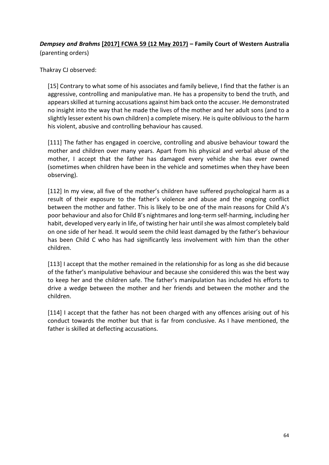## *Dempsey and Brahms* **[\[2017\] FCWA 59 \(12 May 2017\)](http://www.austlii.edu.au/au/cases/wa/FCWA/2017/59.html) – Family Court of Western Australia** (parenting orders)

Thakray CJ observed:

[15] Contrary to what some of his associates and family believe, I find that the father is an aggressive, controlling and manipulative man. He has a propensity to bend the truth, and appears skilled at turning accusations against him back onto the accuser. He demonstrated no insight into the way that he made the lives of the mother and her adult sons (and to a slightly lesser extent his own children) a complete misery. He is quite oblivious to the harm his violent, abusive and controlling behaviour has caused.

[111] The father has engaged in coercive, controlling and abusive behaviour toward the mother and children over many years. Apart from his physical and verbal abuse of the mother, I accept that the father has damaged every vehicle she has ever owned (sometimes when children have been in the vehicle and sometimes when they have been observing).

[112] In my view, all five of the mother's children have suffered psychological harm as a result of their exposure to the father's violence and abuse and the ongoing conflict between the mother and father. This is likely to be one of the main reasons for Child A's poor behaviour and also for Child B's nightmares and long-term self-harming, including her habit, developed very early in life, of twisting her hair until she was almost completely bald on one side of her head. It would seem the child least damaged by the father's behaviour has been Child C who has had significantly less involvement with him than the other children.

[113] I accept that the mother remained in the relationship for as long as she did because of the father's manipulative behaviour and because she considered this was the best way to keep her and the children safe. The father's manipulation has included his efforts to drive a wedge between the mother and her friends and between the mother and the children.

[114] I accept that the father has not been charged with any offences arising out of his conduct towards the mother but that is far from conclusive. As I have mentioned, the father is skilled at deflecting accusations.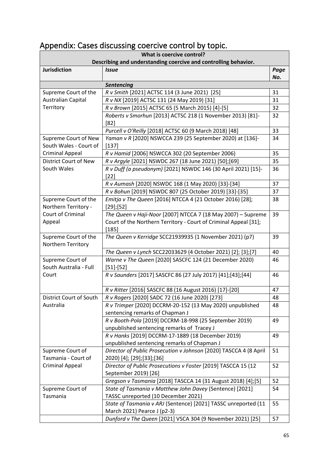| . .<br>What is coercive control?<br>Describing and understanding coercive and controlling behavior. |                                                                                                                                             |             |
|-----------------------------------------------------------------------------------------------------|---------------------------------------------------------------------------------------------------------------------------------------------|-------------|
| <b>Jurisdiction</b>                                                                                 | <b>Issue</b>                                                                                                                                | Page<br>No. |
|                                                                                                     | Sentencing                                                                                                                                  |             |
| Supreme Court of the                                                                                | R v Smith [2021] ACTSC 114 (3 June 2021) [25]                                                                                               | 31          |
| Australian Capital                                                                                  | R v NX [2019] ACTSC 131 (24 May 2019) [31]                                                                                                  | 31          |
| Territory                                                                                           | R v Brown [2015] ACTSC 65 (5 March 2015) [4]-[5]                                                                                            | 32          |
|                                                                                                     | Roberts v Smorhun [2013] ACTSC 218 (1 November 2013) [81]-<br>$[82]$                                                                        | 32          |
|                                                                                                     | Purcell v O'Reilly [2018] ACTSC 60 (9 March 2018) [48]                                                                                      | 33          |
| Supreme Court of New                                                                                | Yaman v R [2020] NSWCCA 239 (25 September 2020) at [136]-                                                                                   | 34          |
| South Wales - Court of                                                                              | $[137]$                                                                                                                                     |             |
| <b>Criminal Appeal</b>                                                                              | R v Hamid [2006] NSWCCA 302 (20 September 2006)                                                                                             | 35          |
| <b>District Court of New</b>                                                                        | R v Argyle [2021] NSWDC 267 (18 June 2021) [50];[69]                                                                                        | 35          |
| South Wales                                                                                         | R v Duff (a pseudonym) [2021] NSWDC 146 (30 April 2021) [15]-                                                                               | 36          |
|                                                                                                     | $[22]$                                                                                                                                      |             |
|                                                                                                     | R v Aumash [2020] NSWDC 168 (1 May 2020) [33]-[34]                                                                                          | 37          |
|                                                                                                     | R v Bohun [2019] NSWDC 807 (25 October 2019) [33]-[35]                                                                                      | 37          |
| Supreme Court of the<br>Northern Territory -                                                        | Emitja v The Queen [2016] NTCCA 4 (21 October 2016) [28];<br>$[29]$ ; [52]                                                                  | 38          |
| Court of Criminal<br>Appeal                                                                         | The Queen v Haji-Noor [2007] NTCCA 7 (18 May 2007) - Supreme<br>Court of the Northern Territory - Court of Criminal Appeal [31];<br>$[185]$ | 39          |
| Supreme Court of the<br>Northern Territory                                                          | The Queen v Kerridge SCC21939935 (1 November 2021) (p7)                                                                                     | 39          |
|                                                                                                     | The Queen v Lynch SCC22033629 (4 October 2021) [2]; [3];[7]                                                                                 | 40          |
| Supreme Court of<br>South Australia - Full                                                          | Warne v The Queen [2020] SASCFC 124 (21 December 2020)<br>$[51] - [52]$                                                                     | 46          |
| Court                                                                                               | R v Saunders [2017] SASCFC 86 (27 July 2017) [41]; [43]; [44]                                                                               | 46          |
|                                                                                                     | R v Ritter [2016] SASCFC 88 (16 August 2016) [17]-[20]                                                                                      | 47          |
| District Court of South                                                                             | R v Rogers [2020] SADC 72 (16 June 2020) [273]                                                                                              | 48          |
| Australia                                                                                           | R v Trimper [2020] DCCRM-20-152 (13 May 2020) unpublished<br>sentencing remarks of Chapman J                                                | 48          |
|                                                                                                     | R v Booth-Pola [2019] DCCRM-18-998 (25 September 2019)<br>unpublished sentencing remarks of Tracey J                                        | 49          |
|                                                                                                     | R v Hanks [2019] DCCRM-17-1889 (18 December 2019)<br>unpublished sentencing remarks of Chapman J                                            | 49          |
| Supreme Court of<br>Tasmania - Court of                                                             | Director of Public Prosecution v Johnson [2020] TASCCA 4 (8 April<br>2020) [4]; [29]; [33]; [36]                                            | 51          |
| <b>Criminal Appeal</b>                                                                              | Director of Public Prosecutions v Foster [2019] TASCCA 15 (12<br>September 2019) [26]                                                       | 52          |
|                                                                                                     | Gregson v Tasmania [2018] TASCCA 14 (31 August 2018) [4];[5]                                                                                | 52          |
| Supreme Court of                                                                                    | State of Tasmania v Matthew John Davey (Sentence) [2021]                                                                                    | 54          |
| Tasmania                                                                                            | TASSC unreported (10 December 2021)                                                                                                         |             |
|                                                                                                     | State of Tasmania v ARJ (Sentence) [2021] TASSC unreported (11                                                                              | 55          |
|                                                                                                     | March 2021) Pearce J (p2-3)<br>Dunford v The Queen [2021] VSCA 304 (9 November 2021) [25]                                                   | 57          |
|                                                                                                     |                                                                                                                                             |             |

## <span id="page-65-0"></span>Appendix: Cases discussing coercive control by topic.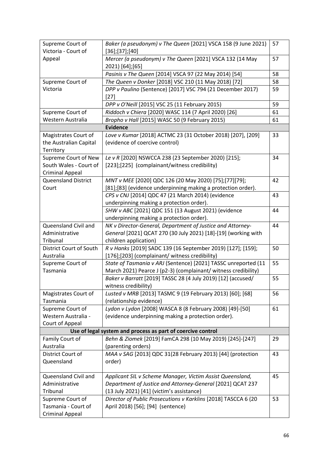| Supreme Court of<br>Victoria - Court of          | Baker (a pseudonym) v The Queen [2021] VSCA 158 (9 June 2021)<br>$[36]$ ; [37]; [40] | 57 |
|--------------------------------------------------|--------------------------------------------------------------------------------------|----|
| Appeal                                           | Mercer (a pseudonym) v The Queen [2021] VSCA 132 (14 May<br>2021) [64];[65]          | 57 |
|                                                  | Pasinis v The Queen [2014] VSCA 97 (22 May 2014) [54]                                | 58 |
| Supreme Court of                                 | The Queen v Donker [2018] VSC 210 (11 May 2018) [72]                                 | 58 |
| Victoria                                         | DPP v Paulino (Sentence) [2017] VSC 794 (21 December 2017)<br>$[27]$                 | 59 |
|                                                  | DPP v O'Neill [2015] VSC 25 (11 February 2015)                                       | 59 |
| Supreme Court of                                 | Riddoch v Chiera [2020] WASC 114 (7 April 2020) [26]                                 | 61 |
| Western Australia                                | Bropho v Hall [2015] WASC 50 (9 February 2015)                                       | 61 |
|                                                  | <b>Evidence</b>                                                                      |    |
| Magistrates Court of                             | Love v Kumar [2018] ACTMC 23 (31 October 2018) [207], [209]                          | 33 |
| the Australian Capital<br>Territory              | (evidence of coercive control)                                                       |    |
| Supreme Court of New                             | Le v R [2020] NSWCCA 238 (23 September 2020) [215];                                  | 34 |
| South Wales - Court of<br><b>Criminal Appeal</b> | [223];[225] (complainant/witness credibility)                                        |    |
| <b>Queensland District</b>                       | MNT v MEE [2020] QDC 126 (20 May 2020) [75];[77][79];                                | 42 |
| Court                                            | [81];[83] (evidence underpinning making a protection order).                         |    |
|                                                  | CPS v CNJ [2014] QDC 47 (21 March 2014) (evidence                                    | 43 |
|                                                  | underpinning making a protection order).                                             |    |
|                                                  | SHW v ABC [2021] QDC 151 (13 August 2021) (evidence                                  | 44 |
|                                                  | underpinning making a protection order).                                             |    |
| Queensland Civil and                             | NK v Director-General, Department of Justice and Attorney-                           | 44 |
| Administrative                                   | General [2021] QCAT 270 (30 July 2021) [18]-[19] (working with                       |    |
| Tribunal                                         | children application)                                                                |    |
| District Court of South                          | R v Hanks [2019] SADC 139 (16 September 2019) [127]; [159];                          | 50 |
| Australia                                        | [176];[203] (complainant/ witness credibility)                                       |    |
| Supreme Court of                                 | State of Tasmania v ARJ (Sentence) [2021] TASSC unreported (11                       | 55 |
| Tasmania                                         | March 2021) Pearce J (p2-3) (complainant/ witness credibility)                       |    |
|                                                  | Baker v Barratt [2019] TASSC 28 (4 July 2019) [12] (accused/                         | 55 |
|                                                  | witness credibility)                                                                 |    |
| Magistrates Court of                             | Lusted v MRB [2013] TASMC 9 (19 February 2013) [60]; [68]                            | 56 |
| Tasmania                                         | (relationship evidence)                                                              |    |
| Supreme Court of                                 | Lydon v Lydon [2008] WASCA 8 (8 February 2008) [49]-[50]                             | 61 |
| Western Australia -                              | (evidence underpinning making a protection order).                                   |    |
| Court of Appeal                                  |                                                                                      |    |
|                                                  | Use of legal system and process as part of coercive control                          |    |
| Family Court of                                  | Behn & Ziomek [2019] FamCA 298 (10 May 2019) [245]-[247]                             | 29 |
| Australia                                        | (parenting orders)                                                                   |    |
| District Court of                                | MAA v SAG [2013] QDC 31(28 February 2013) [44] (protection                           | 43 |
| Queensland                                       | order)                                                                               |    |
| Queensland Civil and                             | Applicant SIL v Scheme Manager, Victim Assist Queensland,                            | 45 |
| Administrative                                   | Department of Justice and Attorney-General [2021] QCAT 237                           |    |
| Tribunal                                         | (13 July 2021) [41] (victim's assistance)                                            |    |
| Supreme Court of                                 | Director of Public Prosecutions v Karklins [2018] TASCCA 6 (20                       | 53 |
| Tasmania - Court of                              | April 2018) [56]; [94] (sentence)                                                    |    |
| <b>Criminal Appeal</b>                           |                                                                                      |    |